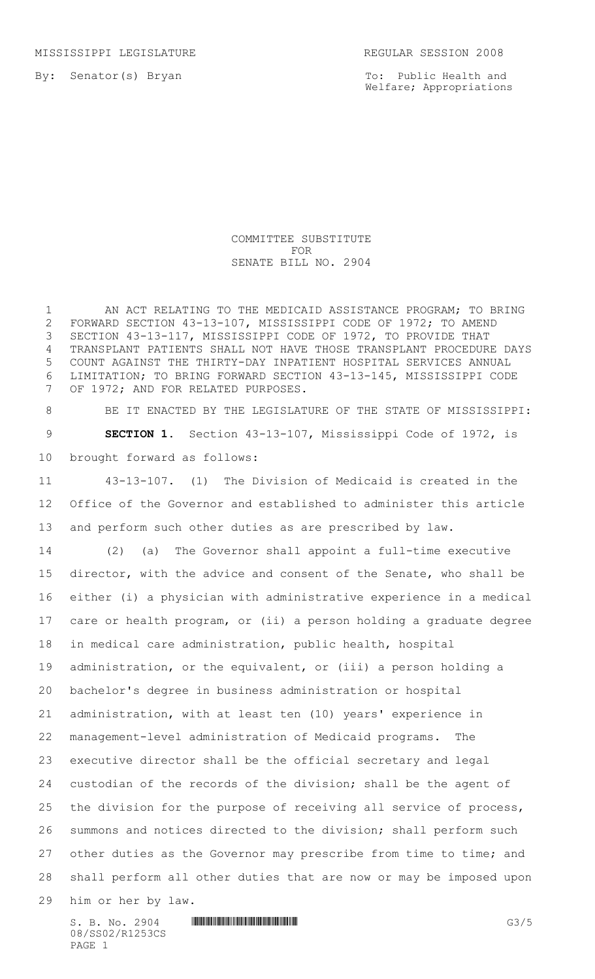MISSISSIPPI LEGISLATURE REGULAR SESSION 2008

By: Senator(s) Bryan

To: Public Health and Welfare; Appropriations

## COMMITTEE SUBSTITUTE FOR SENATE BILL NO. 2904

1 AN ACT RELATING TO THE MEDICAID ASSISTANCE PROGRAM; TO BRING FORWARD SECTION 43-13-107, MISSISSIPPI CODE OF 1972; TO AMEND SECTION 43-13-117, MISSISSIPPI CODE OF 1972, TO PROVIDE THAT TRANSPLANT PATIENTS SHALL NOT HAVE THOSE TRANSPLANT PROCEDURE DAYS COUNT AGAINST THE THIRTY-DAY INPATIENT HOSPITAL SERVICES ANNUAL LIMITATION; TO BRING FORWARD SECTION 43-13-145, MISSISSIPPI CODE OF 1972; AND FOR RELATED PURPOSES.

8 BE IT ENACTED BY THE LEGISLATURE OF THE STATE OF MISSISSIPPI: **SECTION 1.** Section 43-13-107, Mississippi Code of 1972, is brought forward as follows:

 43-13-107. (1) The Division of Medicaid is created in the Office of the Governor and established to administer this article and perform such other duties as are prescribed by law.

 (2) (a) The Governor shall appoint a full-time executive director, with the advice and consent of the Senate, who shall be either (i) a physician with administrative experience in a medical care or health program, or (ii) a person holding a graduate degree in medical care administration, public health, hospital administration, or the equivalent, or (iii) a person holding a bachelor's degree in business administration or hospital administration, with at least ten (10) years' experience in management-level administration of Medicaid programs. The executive director shall be the official secretary and legal custodian of the records of the division; shall be the agent of the division for the purpose of receiving all service of process, summons and notices directed to the division; shall perform such 27 other duties as the Governor may prescribe from time to time; and shall perform all other duties that are now or may be imposed upon him or her by law.

 $S. B. NO. 2904$  .  $M$   $\blacksquare$   $\blacksquare$   $\blacksquare$   $\blacksquare$   $\blacksquare$   $\blacksquare$   $\blacksquare$   $\blacksquare$   $\blacksquare$   $\blacksquare$   $\blacksquare$   $\blacksquare$   $\blacksquare$   $\blacksquare$   $\blacksquare$   $\blacksquare$   $\blacksquare$   $\blacksquare$   $\blacksquare$   $\blacksquare$   $\blacksquare$   $\blacksquare$   $\blacksquare$   $\blacksquare$   $\blacksquare$   $\blacksquare$   $\blacksquare$   $\blacksquare$   $\blacksquare$ 08/SS02/R1253CS PAGE 1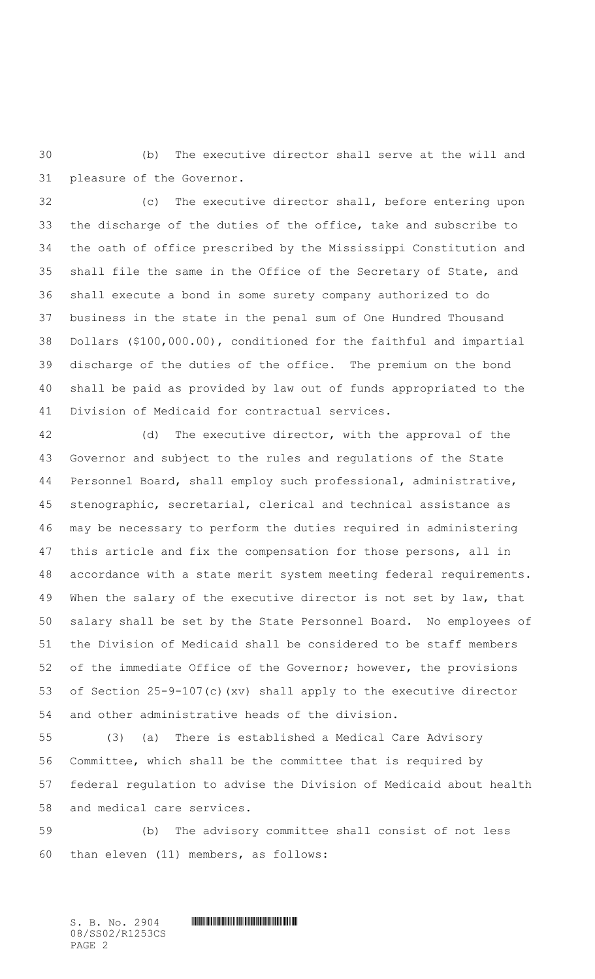(b) The executive director shall serve at the will and pleasure of the Governor.

 (c) The executive director shall, before entering upon the discharge of the duties of the office, take and subscribe to the oath of office prescribed by the Mississippi Constitution and shall file the same in the Office of the Secretary of State, and shall execute a bond in some surety company authorized to do business in the state in the penal sum of One Hundred Thousand Dollars (\$100,000.00), conditioned for the faithful and impartial discharge of the duties of the office. The premium on the bond shall be paid as provided by law out of funds appropriated to the Division of Medicaid for contractual services.

 (d) The executive director, with the approval of the Governor and subject to the rules and regulations of the State Personnel Board, shall employ such professional, administrative, stenographic, secretarial, clerical and technical assistance as may be necessary to perform the duties required in administering this article and fix the compensation for those persons, all in accordance with a state merit system meeting federal requirements. 49 When the salary of the executive director is not set by law, that salary shall be set by the State Personnel Board. No employees of the Division of Medicaid shall be considered to be staff members of the immediate Office of the Governor; however, the provisions of Section 25-9-107(c)(xv) shall apply to the executive director and other administrative heads of the division.

 (3) (a) There is established a Medical Care Advisory Committee, which shall be the committee that is required by federal regulation to advise the Division of Medicaid about health and medical care services.

 (b) The advisory committee shall consist of not less than eleven (11) members, as follows: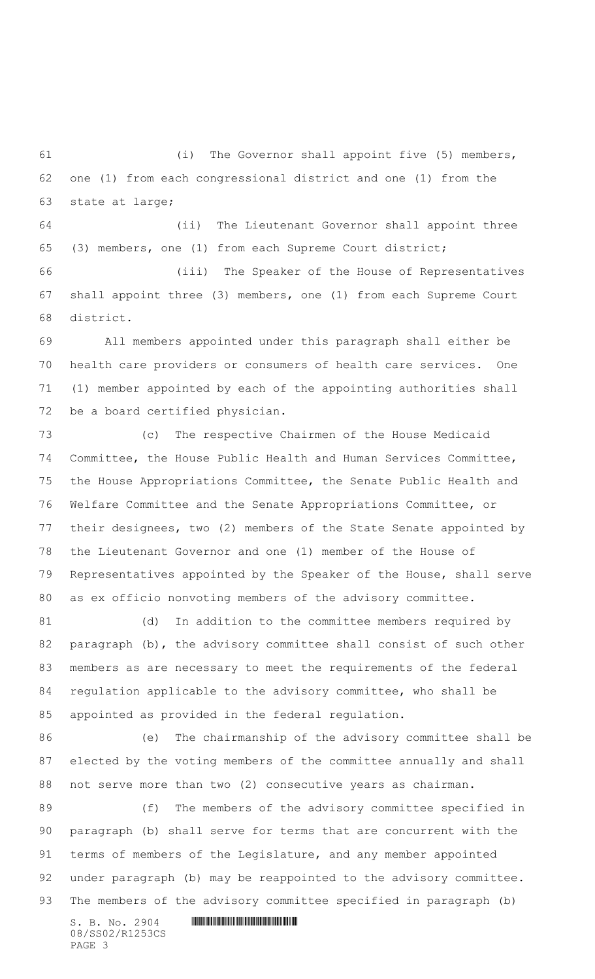(i) The Governor shall appoint five (5) members, one (1) from each congressional district and one (1) from the state at large;

 (ii) The Lieutenant Governor shall appoint three (3) members, one (1) from each Supreme Court district;

 (iii) The Speaker of the House of Representatives shall appoint three (3) members, one (1) from each Supreme Court district.

 All members appointed under this paragraph shall either be health care providers or consumers of health care services. One (1) member appointed by each of the appointing authorities shall be a board certified physician.

 (c) The respective Chairmen of the House Medicaid Committee, the House Public Health and Human Services Committee, the House Appropriations Committee, the Senate Public Health and Welfare Committee and the Senate Appropriations Committee, or their designees, two (2) members of the State Senate appointed by the Lieutenant Governor and one (1) member of the House of Representatives appointed by the Speaker of the House, shall serve as ex officio nonvoting members of the advisory committee.

81 (d) In addition to the committee members required by paragraph (b), the advisory committee shall consist of such other members as are necessary to meet the requirements of the federal regulation applicable to the advisory committee, who shall be appointed as provided in the federal regulation.

 (e) The chairmanship of the advisory committee shall be elected by the voting members of the committee annually and shall not serve more than two (2) consecutive years as chairman.

89 (f) The members of the advisory committee specified in paragraph (b) shall serve for terms that are concurrent with the terms of members of the Legislature, and any member appointed under paragraph (b) may be reappointed to the advisory committee. The members of the advisory committee specified in paragraph (b)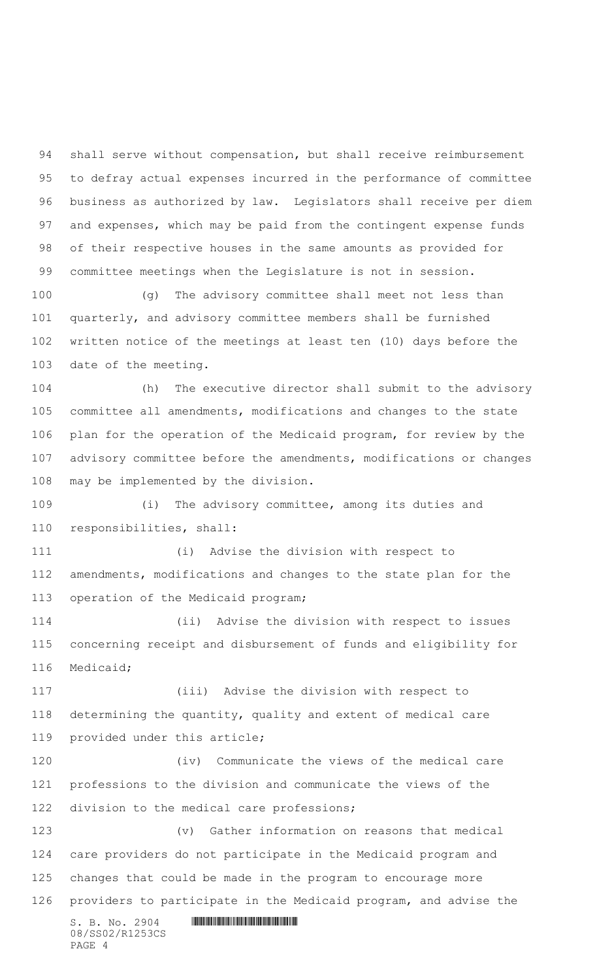shall serve without compensation, but shall receive reimbursement to defray actual expenses incurred in the performance of committee business as authorized by law. Legislators shall receive per diem and expenses, which may be paid from the contingent expense funds of their respective houses in the same amounts as provided for committee meetings when the Legislature is not in session.

 (g) The advisory committee shall meet not less than quarterly, and advisory committee members shall be furnished written notice of the meetings at least ten (10) days before the date of the meeting.

 (h) The executive director shall submit to the advisory committee all amendments, modifications and changes to the state plan for the operation of the Medicaid program, for review by the advisory committee before the amendments, modifications or changes may be implemented by the division.

 (i) The advisory committee, among its duties and responsibilities, shall:

 (i) Advise the division with respect to amendments, modifications and changes to the state plan for the operation of the Medicaid program;

 (ii) Advise the division with respect to issues concerning receipt and disbursement of funds and eligibility for Medicaid;

 (iii) Advise the division with respect to determining the quantity, quality and extent of medical care provided under this article;

 (iv) Communicate the views of the medical care professions to the division and communicate the views of the division to the medical care professions;

 (v) Gather information on reasons that medical care providers do not participate in the Medicaid program and changes that could be made in the program to encourage more providers to participate in the Medicaid program, and advise the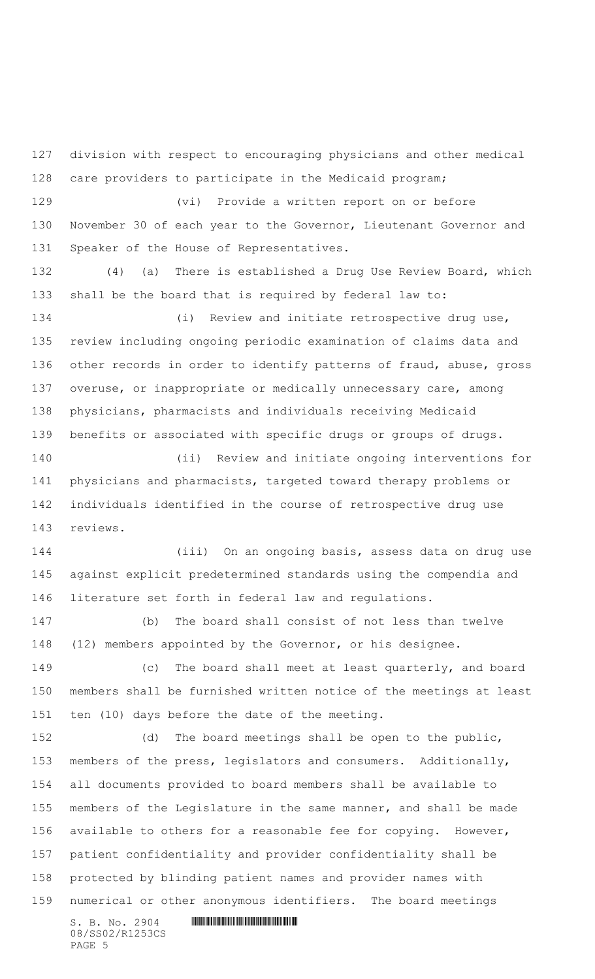$S. B. No. 2904$  . The set of the set of  $S. B. N \circ A$  division with respect to encouraging physicians and other medical care providers to participate in the Medicaid program; (vi) Provide a written report on or before November 30 of each year to the Governor, Lieutenant Governor and Speaker of the House of Representatives. (4) (a) There is established a Drug Use Review Board, which shall be the board that is required by federal law to: (i) Review and initiate retrospective drug use, review including ongoing periodic examination of claims data and other records in order to identify patterns of fraud, abuse, gross 137 overuse, or inappropriate or medically unnecessary care, among physicians, pharmacists and individuals receiving Medicaid benefits or associated with specific drugs or groups of drugs. (ii) Review and initiate ongoing interventions for physicians and pharmacists, targeted toward therapy problems or individuals identified in the course of retrospective drug use reviews. (iii) On an ongoing basis, assess data on drug use against explicit predetermined standards using the compendia and literature set forth in federal law and regulations. (b) The board shall consist of not less than twelve (12) members appointed by the Governor, or his designee. (c) The board shall meet at least quarterly, and board members shall be furnished written notice of the meetings at least ten (10) days before the date of the meeting. (d) The board meetings shall be open to the public, members of the press, legislators and consumers. Additionally, all documents provided to board members shall be available to members of the Legislature in the same manner, and shall be made available to others for a reasonable fee for copying. However, patient confidentiality and provider confidentiality shall be protected by blinding patient names and provider names with numerical or other anonymous identifiers. The board meetings

08/SS02/R1253CS PAGE 5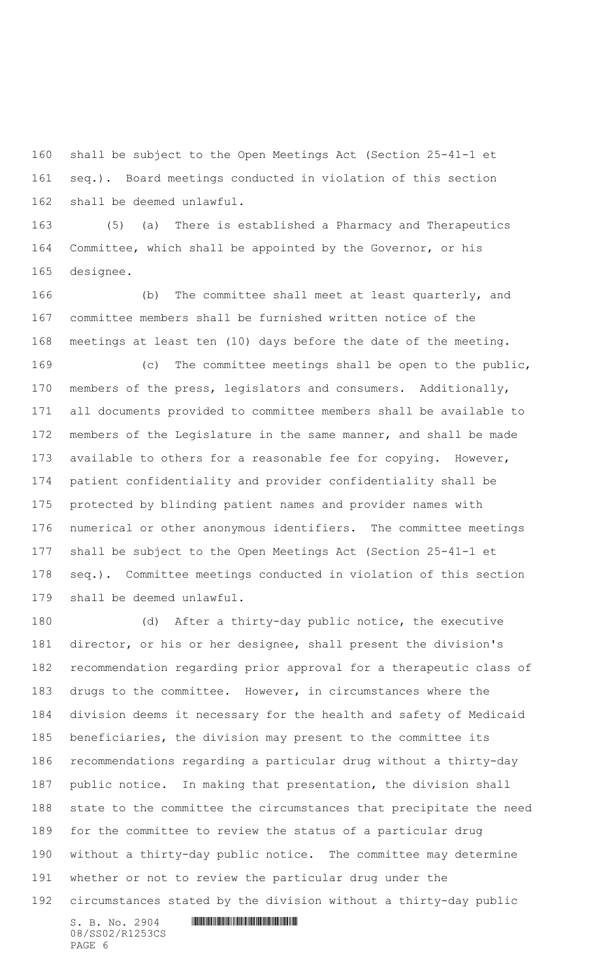shall be subject to the Open Meetings Act (Section 25-41-1 et seq.). Board meetings conducted in violation of this section shall be deemed unlawful.

 (5) (a) There is established a Pharmacy and Therapeutics Committee, which shall be appointed by the Governor, or his designee.

 (b) The committee shall meet at least quarterly, and committee members shall be furnished written notice of the meetings at least ten (10) days before the date of the meeting.

 (c) The committee meetings shall be open to the public, members of the press, legislators and consumers. Additionally, all documents provided to committee members shall be available to members of the Legislature in the same manner, and shall be made available to others for a reasonable fee for copying. However, patient confidentiality and provider confidentiality shall be protected by blinding patient names and provider names with numerical or other anonymous identifiers. The committee meetings shall be subject to the Open Meetings Act (Section 25-41-1 et seq.). Committee meetings conducted in violation of this section shall be deemed unlawful.

 (d) After a thirty-day public notice, the executive director, or his or her designee, shall present the division's recommendation regarding prior approval for a therapeutic class of drugs to the committee. However, in circumstances where the division deems it necessary for the health and safety of Medicaid beneficiaries, the division may present to the committee its recommendations regarding a particular drug without a thirty-day public notice. In making that presentation, the division shall state to the committee the circumstances that precipitate the need for the committee to review the status of a particular drug without a thirty-day public notice. The committee may determine whether or not to review the particular drug under the circumstances stated by the division without a thirty-day public

08/SS02/R1253CS PAGE 6

 $S. B. No. 2904$  . The set of the set of  $S. B. N_{O.} 2904$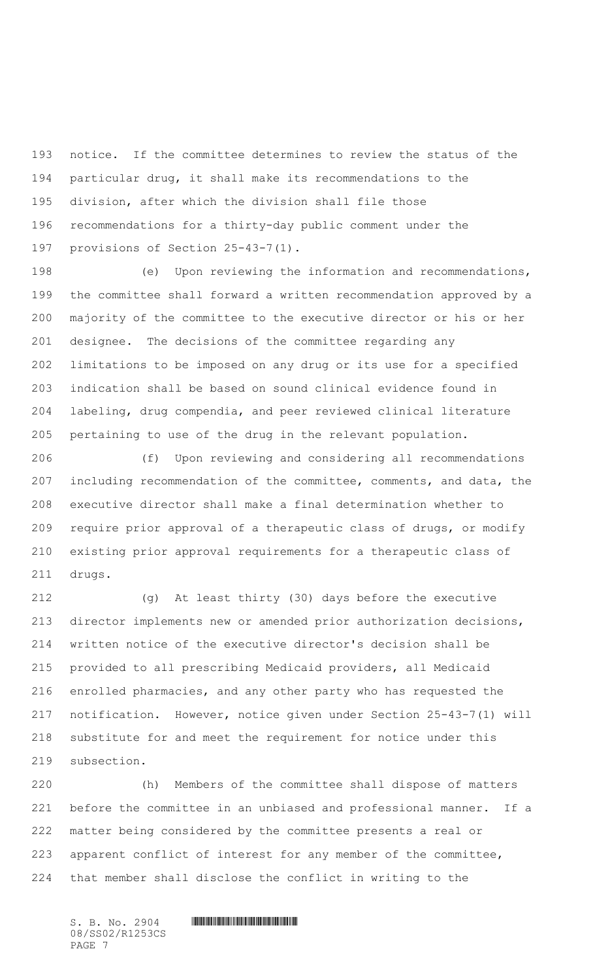notice. If the committee determines to review the status of the particular drug, it shall make its recommendations to the division, after which the division shall file those recommendations for a thirty-day public comment under the provisions of Section 25-43-7(1).

 (e) Upon reviewing the information and recommendations, the committee shall forward a written recommendation approved by a majority of the committee to the executive director or his or her designee. The decisions of the committee regarding any limitations to be imposed on any drug or its use for a specified indication shall be based on sound clinical evidence found in labeling, drug compendia, and peer reviewed clinical literature pertaining to use of the drug in the relevant population.

 (f) Upon reviewing and considering all recommendations including recommendation of the committee, comments, and data, the executive director shall make a final determination whether to require prior approval of a therapeutic class of drugs, or modify existing prior approval requirements for a therapeutic class of drugs.

 (g) At least thirty (30) days before the executive director implements new or amended prior authorization decisions, written notice of the executive director's decision shall be provided to all prescribing Medicaid providers, all Medicaid enrolled pharmacies, and any other party who has requested the notification. However, notice given under Section 25-43-7(1) will substitute for and meet the requirement for notice under this subsection.

 (h) Members of the committee shall dispose of matters before the committee in an unbiased and professional manner. If a matter being considered by the committee presents a real or apparent conflict of interest for any member of the committee, that member shall disclose the conflict in writing to the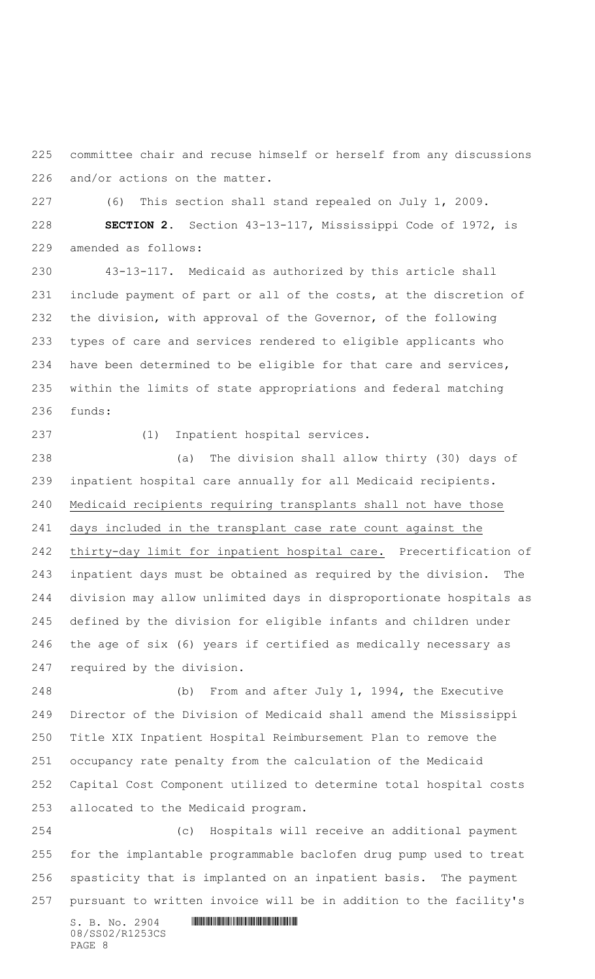committee chair and recuse himself or herself from any discussions and/or actions on the matter.

(6) This section shall stand repealed on July 1, 2009.

 **SECTION 2.** Section 43-13-117, Mississippi Code of 1972, is amended as follows:

 43-13-117. Medicaid as authorized by this article shall include payment of part or all of the costs, at the discretion of the division, with approval of the Governor, of the following types of care and services rendered to eligible applicants who have been determined to be eligible for that care and services, within the limits of state appropriations and federal matching funds:

(1) Inpatient hospital services.

 (a) The division shall allow thirty (30) days of inpatient hospital care annually for all Medicaid recipients. Medicaid recipients requiring transplants shall not have those days included in the transplant case rate count against the thirty-day limit for inpatient hospital care. Precertification of inpatient days must be obtained as required by the division. The division may allow unlimited days in disproportionate hospitals as defined by the division for eligible infants and children under the age of six (6) years if certified as medically necessary as required by the division.

 (b) From and after July 1, 1994, the Executive Director of the Division of Medicaid shall amend the Mississippi Title XIX Inpatient Hospital Reimbursement Plan to remove the occupancy rate penalty from the calculation of the Medicaid Capital Cost Component utilized to determine total hospital costs allocated to the Medicaid program.

 (c) Hospitals will receive an additional payment for the implantable programmable baclofen drug pump used to treat spasticity that is implanted on an inpatient basis. The payment pursuant to written invoice will be in addition to the facility's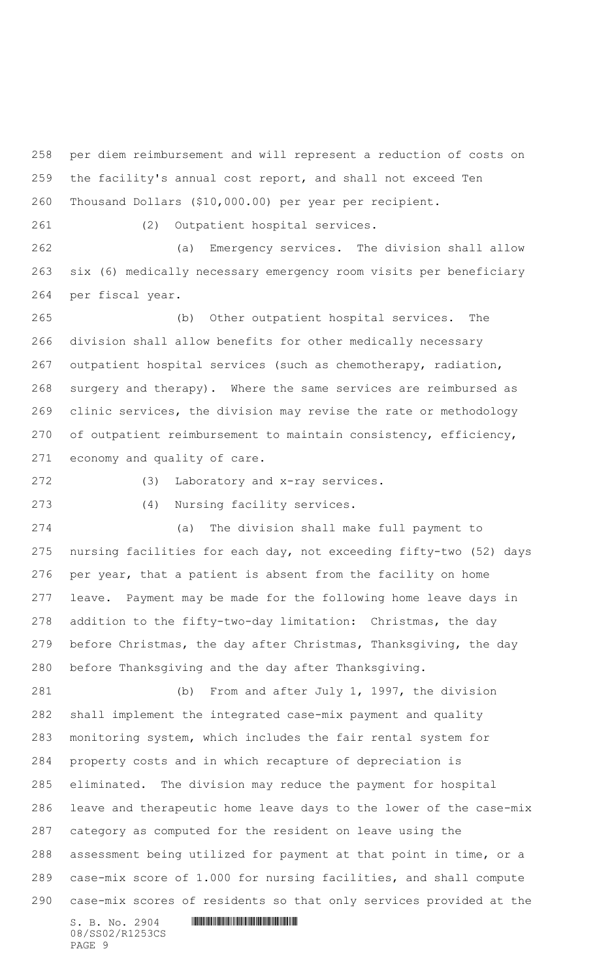per diem reimbursement and will represent a reduction of costs on the facility's annual cost report, and shall not exceed Ten Thousand Dollars (\$10,000.00) per year per recipient.

(2) Outpatient hospital services.

 (a) Emergency services. The division shall allow six (6) medically necessary emergency room visits per beneficiary per fiscal year.

 (b) Other outpatient hospital services. The division shall allow benefits for other medically necessary outpatient hospital services (such as chemotherapy, radiation, surgery and therapy). Where the same services are reimbursed as clinic services, the division may revise the rate or methodology of outpatient reimbursement to maintain consistency, efficiency, economy and quality of care.

(3) Laboratory and x-ray services.

(4) Nursing facility services.

 (a) The division shall make full payment to nursing facilities for each day, not exceeding fifty-two (52) days per year, that a patient is absent from the facility on home leave. Payment may be made for the following home leave days in addition to the fifty-two-day limitation: Christmas, the day before Christmas, the day after Christmas, Thanksgiving, the day before Thanksgiving and the day after Thanksgiving.

 (b) From and after July 1, 1997, the division shall implement the integrated case-mix payment and quality monitoring system, which includes the fair rental system for property costs and in which recapture of depreciation is eliminated. The division may reduce the payment for hospital leave and therapeutic home leave days to the lower of the case-mix category as computed for the resident on leave using the assessment being utilized for payment at that point in time, or a case-mix score of 1.000 for nursing facilities, and shall compute case-mix scores of residents so that only services provided at the

08/SS02/R1253CS PAGE 9

 $S. B. No. 2904$  . The set of the set of  $S. B. N_O. 2904$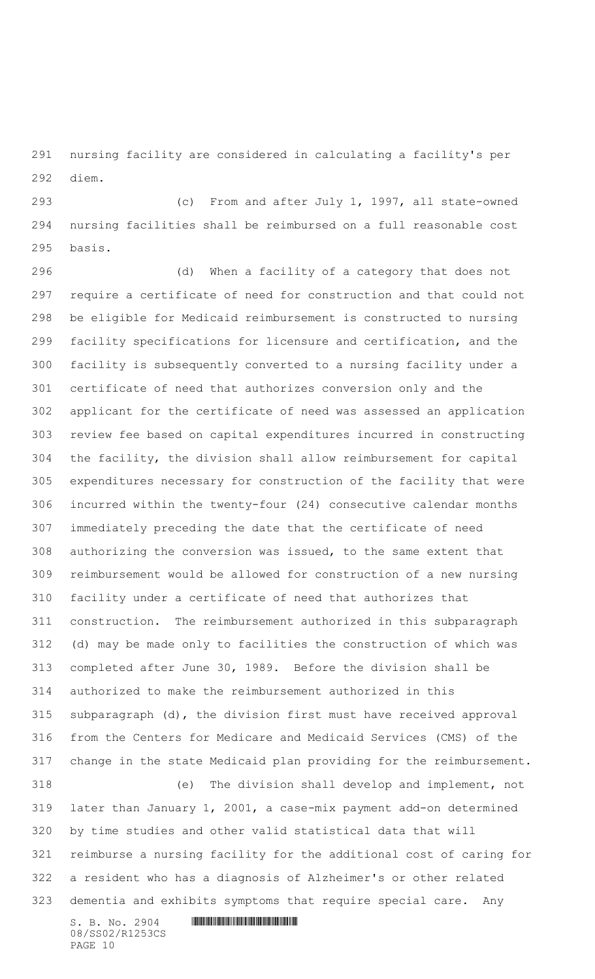nursing facility are considered in calculating a facility's per diem.

 (c) From and after July 1, 1997, all state-owned nursing facilities shall be reimbursed on a full reasonable cost basis.

 (d) When a facility of a category that does not require a certificate of need for construction and that could not be eligible for Medicaid reimbursement is constructed to nursing facility specifications for licensure and certification, and the facility is subsequently converted to a nursing facility under a certificate of need that authorizes conversion only and the applicant for the certificate of need was assessed an application review fee based on capital expenditures incurred in constructing the facility, the division shall allow reimbursement for capital expenditures necessary for construction of the facility that were incurred within the twenty-four (24) consecutive calendar months immediately preceding the date that the certificate of need authorizing the conversion was issued, to the same extent that reimbursement would be allowed for construction of a new nursing facility under a certificate of need that authorizes that construction. The reimbursement authorized in this subparagraph (d) may be made only to facilities the construction of which was completed after June 30, 1989. Before the division shall be authorized to make the reimbursement authorized in this subparagraph (d), the division first must have received approval from the Centers for Medicare and Medicaid Services (CMS) of the change in the state Medicaid plan providing for the reimbursement. (e) The division shall develop and implement, not later than January 1, 2001, a case-mix payment add-on determined by time studies and other valid statistical data that will reimburse a nursing facility for the additional cost of caring for a resident who has a diagnosis of Alzheimer's or other related dementia and exhibits symptoms that require special care. Any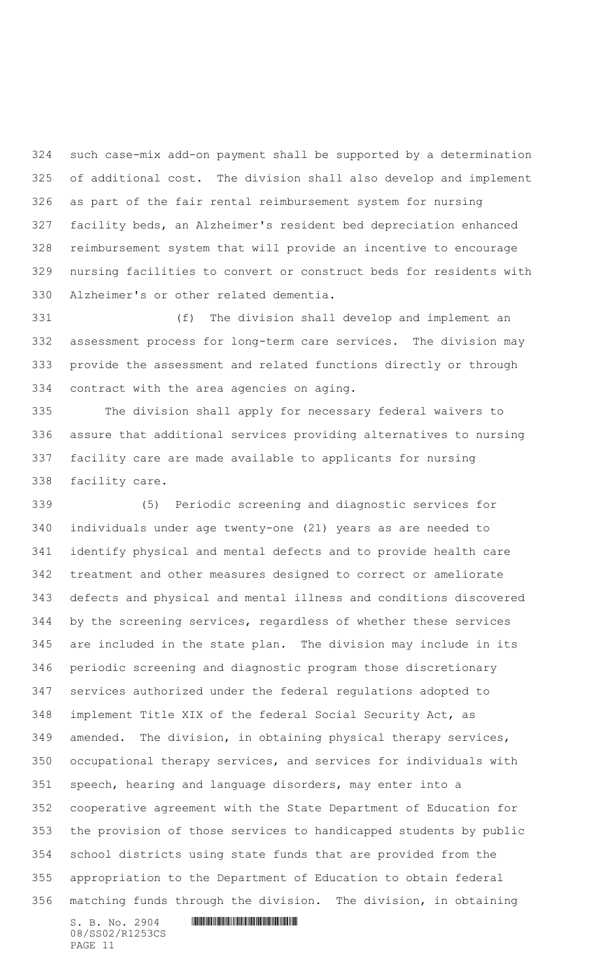such case-mix add-on payment shall be supported by a determination of additional cost. The division shall also develop and implement as part of the fair rental reimbursement system for nursing facility beds, an Alzheimer's resident bed depreciation enhanced reimbursement system that will provide an incentive to encourage nursing facilities to convert or construct beds for residents with Alzheimer's or other related dementia.

 (f) The division shall develop and implement an assessment process for long-term care services. The division may provide the assessment and related functions directly or through contract with the area agencies on aging.

 The division shall apply for necessary federal waivers to assure that additional services providing alternatives to nursing facility care are made available to applicants for nursing facility care.

 (5) Periodic screening and diagnostic services for individuals under age twenty-one (21) years as are needed to identify physical and mental defects and to provide health care treatment and other measures designed to correct or ameliorate defects and physical and mental illness and conditions discovered by the screening services, regardless of whether these services are included in the state plan. The division may include in its periodic screening and diagnostic program those discretionary services authorized under the federal regulations adopted to implement Title XIX of the federal Social Security Act, as amended. The division, in obtaining physical therapy services, occupational therapy services, and services for individuals with speech, hearing and language disorders, may enter into a cooperative agreement with the State Department of Education for the provision of those services to handicapped students by public school districts using state funds that are provided from the appropriation to the Department of Education to obtain federal matching funds through the division. The division, in obtaining

 $S.$  B. No. 2904  $\blacksquare$ 08/SS02/R1253CS PAGE 11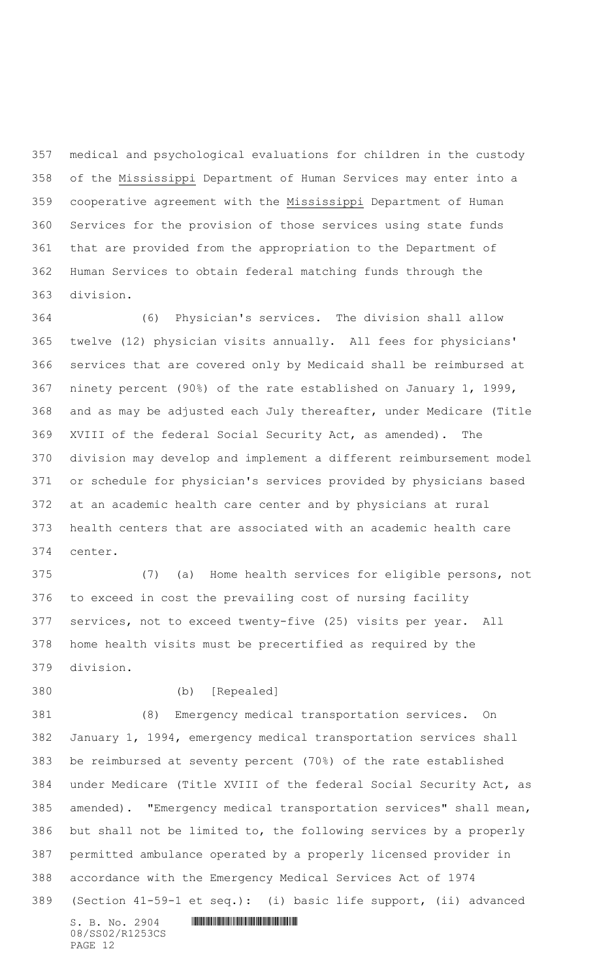medical and psychological evaluations for children in the custody of the Mississippi Department of Human Services may enter into a cooperative agreement with the Mississippi Department of Human Services for the provision of those services using state funds that are provided from the appropriation to the Department of Human Services to obtain federal matching funds through the division.

 (6) Physician's services. The division shall allow twelve (12) physician visits annually. All fees for physicians' services that are covered only by Medicaid shall be reimbursed at ninety percent (90%) of the rate established on January 1, 1999, and as may be adjusted each July thereafter, under Medicare (Title XVIII of the federal Social Security Act, as amended). The division may develop and implement a different reimbursement model or schedule for physician's services provided by physicians based at an academic health care center and by physicians at rural health centers that are associated with an academic health care center.

 (7) (a) Home health services for eligible persons, not to exceed in cost the prevailing cost of nursing facility services, not to exceed twenty-five (25) visits per year. All home health visits must be precertified as required by the division.

(b) [Repealed]

 $S.$  B. No. 2904  $\blacksquare$  (8) Emergency medical transportation services. On January 1, 1994, emergency medical transportation services shall be reimbursed at seventy percent (70%) of the rate established under Medicare (Title XVIII of the federal Social Security Act, as amended). "Emergency medical transportation services" shall mean, but shall not be limited to, the following services by a properly permitted ambulance operated by a properly licensed provider in accordance with the Emergency Medical Services Act of 1974 (Section 41-59-1 et seq.): (i) basic life support, (ii) advanced

08/SS02/R1253CS PAGE 12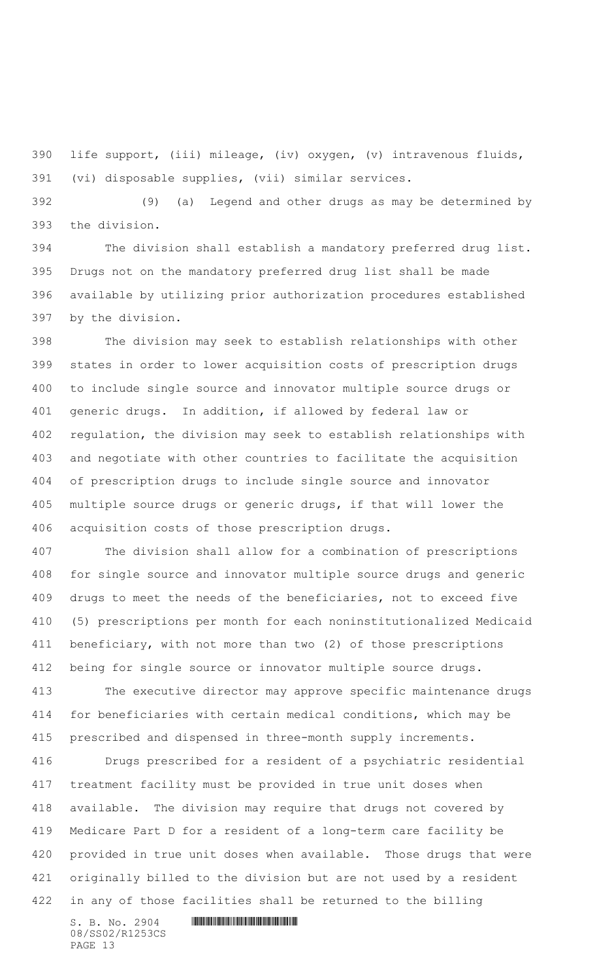life support, (iii) mileage, (iv) oxygen, (v) intravenous fluids, (vi) disposable supplies, (vii) similar services.

 (9) (a) Legend and other drugs as may be determined by the division.

 The division shall establish a mandatory preferred drug list. Drugs not on the mandatory preferred drug list shall be made available by utilizing prior authorization procedures established by the division.

 The division may seek to establish relationships with other states in order to lower acquisition costs of prescription drugs to include single source and innovator multiple source drugs or generic drugs. In addition, if allowed by federal law or regulation, the division may seek to establish relationships with and negotiate with other countries to facilitate the acquisition of prescription drugs to include single source and innovator multiple source drugs or generic drugs, if that will lower the acquisition costs of those prescription drugs.

 The division shall allow for a combination of prescriptions for single source and innovator multiple source drugs and generic drugs to meet the needs of the beneficiaries, not to exceed five (5) prescriptions per month for each noninstitutionalized Medicaid beneficiary, with not more than two (2) of those prescriptions being for single source or innovator multiple source drugs.

 The executive director may approve specific maintenance drugs for beneficiaries with certain medical conditions, which may be prescribed and dispensed in three-month supply increments.

 Drugs prescribed for a resident of a psychiatric residential treatment facility must be provided in true unit doses when available. The division may require that drugs not covered by Medicare Part D for a resident of a long-term care facility be provided in true unit doses when available. Those drugs that were originally billed to the division but are not used by a resident in any of those facilities shall be returned to the billing

08/SS02/R1253CS PAGE 13

 $S.$  B. No. 2904  $\blacksquare$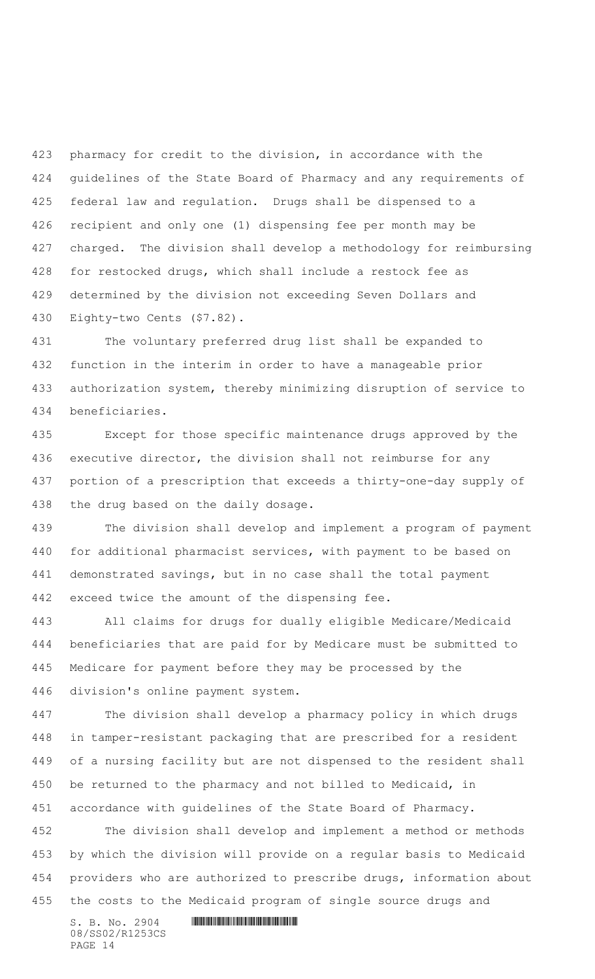pharmacy for credit to the division, in accordance with the guidelines of the State Board of Pharmacy and any requirements of federal law and regulation. Drugs shall be dispensed to a recipient and only one (1) dispensing fee per month may be charged. The division shall develop a methodology for reimbursing for restocked drugs, which shall include a restock fee as determined by the division not exceeding Seven Dollars and Eighty-two Cents (\$7.82).

 The voluntary preferred drug list shall be expanded to function in the interim in order to have a manageable prior authorization system, thereby minimizing disruption of service to beneficiaries.

 Except for those specific maintenance drugs approved by the executive director, the division shall not reimburse for any portion of a prescription that exceeds a thirty-one-day supply of the drug based on the daily dosage.

 The division shall develop and implement a program of payment for additional pharmacist services, with payment to be based on demonstrated savings, but in no case shall the total payment exceed twice the amount of the dispensing fee.

 All claims for drugs for dually eligible Medicare/Medicaid beneficiaries that are paid for by Medicare must be submitted to Medicare for payment before they may be processed by the division's online payment system.

 The division shall develop a pharmacy policy in which drugs in tamper-resistant packaging that are prescribed for a resident of a nursing facility but are not dispensed to the resident shall be returned to the pharmacy and not billed to Medicaid, in accordance with guidelines of the State Board of Pharmacy.

 The division shall develop and implement a method or methods by which the division will provide on a regular basis to Medicaid providers who are authorized to prescribe drugs, information about the costs to the Medicaid program of single source drugs and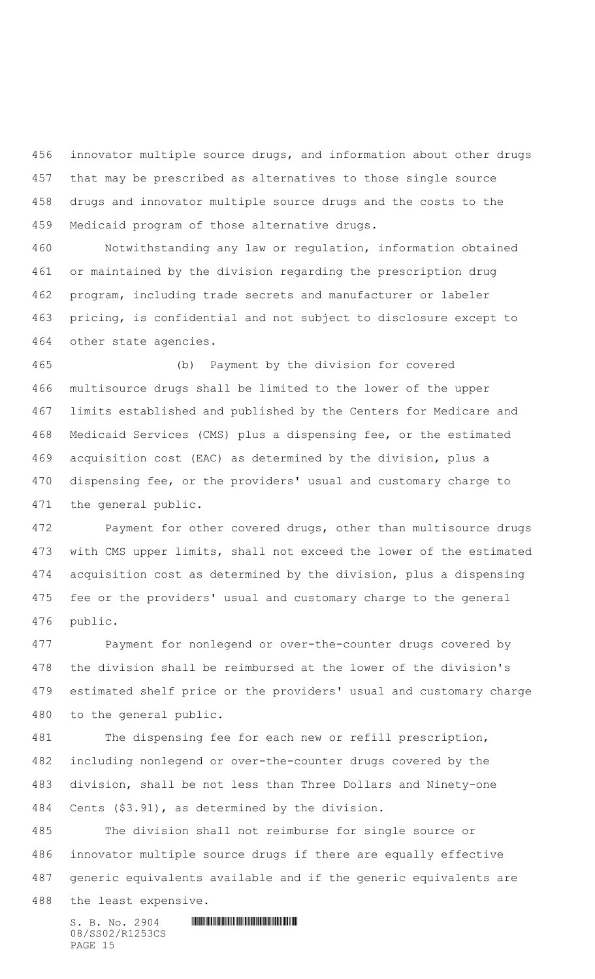innovator multiple source drugs, and information about other drugs that may be prescribed as alternatives to those single source drugs and innovator multiple source drugs and the costs to the Medicaid program of those alternative drugs.

 Notwithstanding any law or regulation, information obtained or maintained by the division regarding the prescription drug program, including trade secrets and manufacturer or labeler pricing, is confidential and not subject to disclosure except to other state agencies.

 (b) Payment by the division for covered multisource drugs shall be limited to the lower of the upper limits established and published by the Centers for Medicare and Medicaid Services (CMS) plus a dispensing fee, or the estimated acquisition cost (EAC) as determined by the division, plus a dispensing fee, or the providers' usual and customary charge to the general public.

 Payment for other covered drugs, other than multisource drugs with CMS upper limits, shall not exceed the lower of the estimated acquisition cost as determined by the division, plus a dispensing fee or the providers' usual and customary charge to the general public.

 Payment for nonlegend or over-the-counter drugs covered by the division shall be reimbursed at the lower of the division's estimated shelf price or the providers' usual and customary charge to the general public.

 The dispensing fee for each new or refill prescription, including nonlegend or over-the-counter drugs covered by the division, shall be not less than Three Dollars and Ninety-one Cents (\$3.91), as determined by the division.

 The division shall not reimburse for single source or innovator multiple source drugs if there are equally effective generic equivalents available and if the generic equivalents are the least expensive.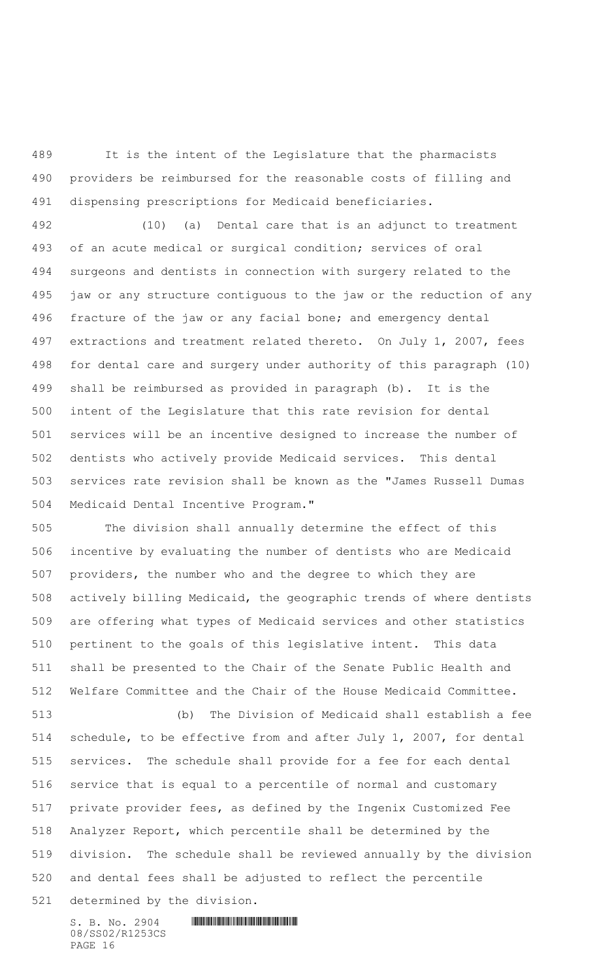It is the intent of the Legislature that the pharmacists providers be reimbursed for the reasonable costs of filling and dispensing prescriptions for Medicaid beneficiaries.

 (10) (a) Dental care that is an adjunct to treatment of an acute medical or surgical condition; services of oral surgeons and dentists in connection with surgery related to the jaw or any structure contiguous to the jaw or the reduction of any fracture of the jaw or any facial bone; and emergency dental extractions and treatment related thereto. On July 1, 2007, fees for dental care and surgery under authority of this paragraph (10) shall be reimbursed as provided in paragraph (b). It is the intent of the Legislature that this rate revision for dental services will be an incentive designed to increase the number of dentists who actively provide Medicaid services. This dental services rate revision shall be known as the "James Russell Dumas Medicaid Dental Incentive Program."

 The division shall annually determine the effect of this incentive by evaluating the number of dentists who are Medicaid providers, the number who and the degree to which they are actively billing Medicaid, the geographic trends of where dentists are offering what types of Medicaid services and other statistics pertinent to the goals of this legislative intent. This data shall be presented to the Chair of the Senate Public Health and Welfare Committee and the Chair of the House Medicaid Committee.

 (b) The Division of Medicaid shall establish a fee schedule, to be effective from and after July 1, 2007, for dental services. The schedule shall provide for a fee for each dental service that is equal to a percentile of normal and customary private provider fees, as defined by the Ingenix Customized Fee Analyzer Report, which percentile shall be determined by the division. The schedule shall be reviewed annually by the division and dental fees shall be adjusted to reflect the percentile determined by the division.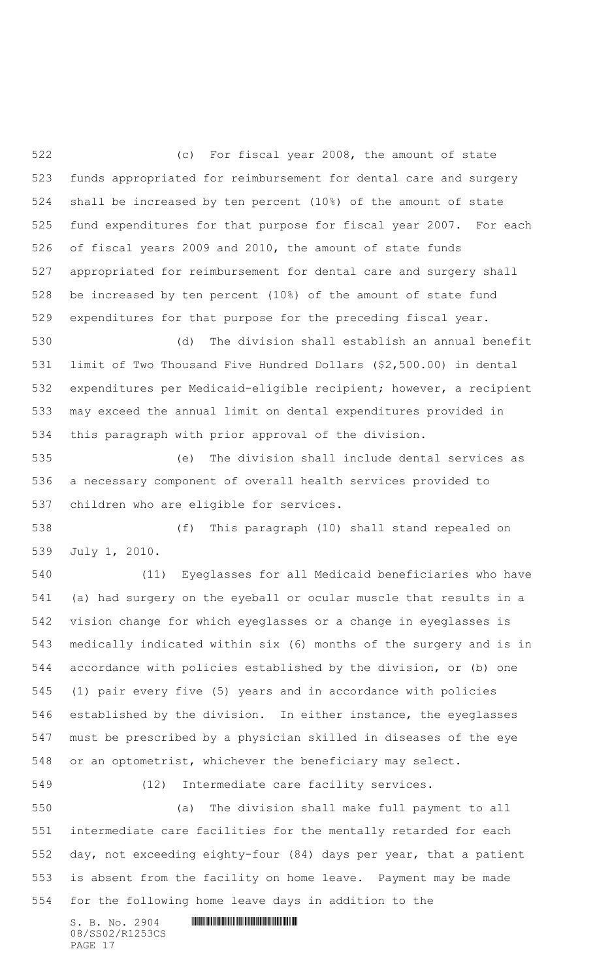(c) For fiscal year 2008, the amount of state funds appropriated for reimbursement for dental care and surgery shall be increased by ten percent (10%) of the amount of state fund expenditures for that purpose for fiscal year 2007. For each of fiscal years 2009 and 2010, the amount of state funds appropriated for reimbursement for dental care and surgery shall be increased by ten percent (10%) of the amount of state fund expenditures for that purpose for the preceding fiscal year.

 (d) The division shall establish an annual benefit limit of Two Thousand Five Hundred Dollars (\$2,500.00) in dental expenditures per Medicaid-eligible recipient; however, a recipient may exceed the annual limit on dental expenditures provided in this paragraph with prior approval of the division.

 (e) The division shall include dental services as a necessary component of overall health services provided to children who are eligible for services.

 (f) This paragraph (10) shall stand repealed on July 1, 2010.

 (11) Eyeglasses for all Medicaid beneficiaries who have (a) had surgery on the eyeball or ocular muscle that results in a vision change for which eyeglasses or a change in eyeglasses is medically indicated within six (6) months of the surgery and is in accordance with policies established by the division, or (b) one (1) pair every five (5) years and in accordance with policies established by the division. In either instance, the eyeglasses must be prescribed by a physician skilled in diseases of the eye or an optometrist, whichever the beneficiary may select.

(12) Intermediate care facility services.

 (a) The division shall make full payment to all intermediate care facilities for the mentally retarded for each day, not exceeding eighty-four (84) days per year, that a patient is absent from the facility on home leave. Payment may be made for the following home leave days in addition to the

08/SS02/R1253CS PAGE 17

 $S. B. No. 2904$  . The set of the set of  $S. B. N_O. 2904$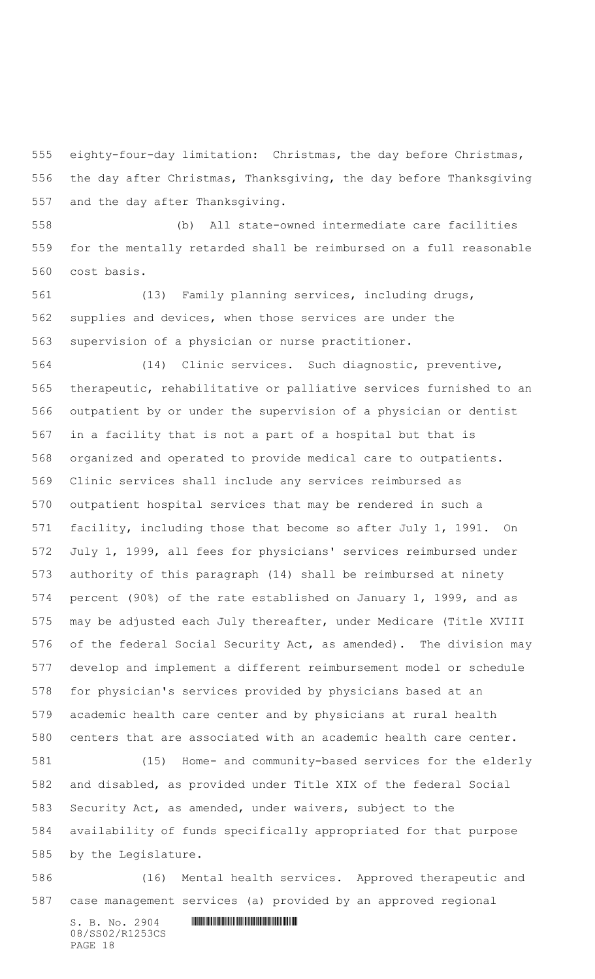eighty-four-day limitation: Christmas, the day before Christmas, the day after Christmas, Thanksgiving, the day before Thanksgiving and the day after Thanksgiving.

 (b) All state-owned intermediate care facilities for the mentally retarded shall be reimbursed on a full reasonable cost basis.

 (13) Family planning services, including drugs, supplies and devices, when those services are under the supervision of a physician or nurse practitioner.

 (14) Clinic services. Such diagnostic, preventive, therapeutic, rehabilitative or palliative services furnished to an outpatient by or under the supervision of a physician or dentist in a facility that is not a part of a hospital but that is organized and operated to provide medical care to outpatients. Clinic services shall include any services reimbursed as outpatient hospital services that may be rendered in such a facility, including those that become so after July 1, 1991. On July 1, 1999, all fees for physicians' services reimbursed under authority of this paragraph (14) shall be reimbursed at ninety percent (90%) of the rate established on January 1, 1999, and as may be adjusted each July thereafter, under Medicare (Title XVIII of the federal Social Security Act, as amended). The division may develop and implement a different reimbursement model or schedule for physician's services provided by physicians based at an academic health care center and by physicians at rural health centers that are associated with an academic health care center.

 (15) Home- and community-based services for the elderly and disabled, as provided under Title XIX of the federal Social Security Act, as amended, under waivers, subject to the availability of funds specifically appropriated for that purpose by the Legislature.

 (16) Mental health services. Approved therapeutic and case management services (a) provided by an approved regional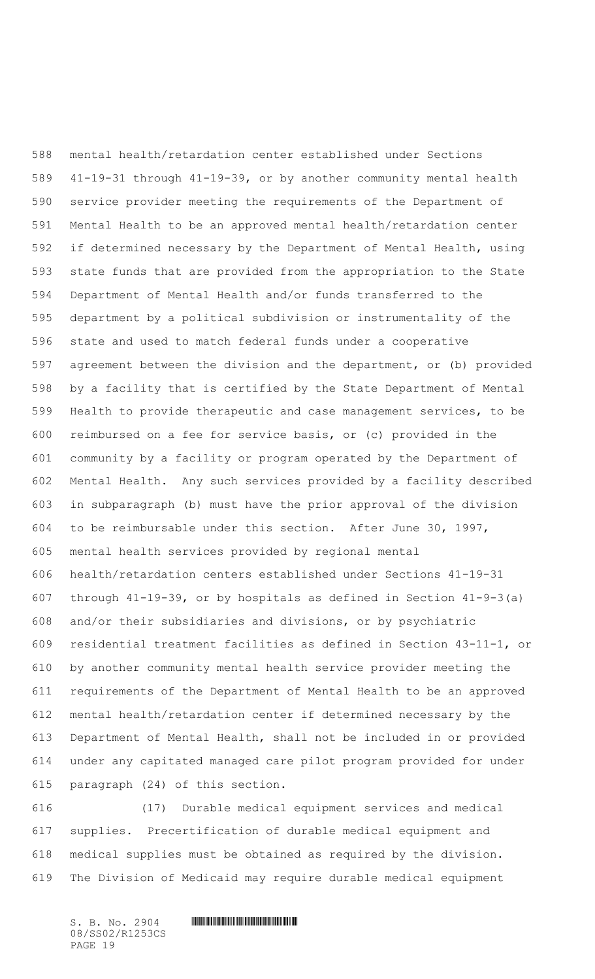mental health/retardation center established under Sections 41-19-31 through 41-19-39, or by another community mental health service provider meeting the requirements of the Department of Mental Health to be an approved mental health/retardation center if determined necessary by the Department of Mental Health, using state funds that are provided from the appropriation to the State Department of Mental Health and/or funds transferred to the department by a political subdivision or instrumentality of the state and used to match federal funds under a cooperative agreement between the division and the department, or (b) provided by a facility that is certified by the State Department of Mental Health to provide therapeutic and case management services, to be reimbursed on a fee for service basis, or (c) provided in the community by a facility or program operated by the Department of Mental Health. Any such services provided by a facility described in subparagraph (b) must have the prior approval of the division to be reimbursable under this section. After June 30, 1997, mental health services provided by regional mental health/retardation centers established under Sections 41-19-31 through 41-19-39, or by hospitals as defined in Section 41-9-3(a) and/or their subsidiaries and divisions, or by psychiatric residential treatment facilities as defined in Section 43-11-1, or by another community mental health service provider meeting the requirements of the Department of Mental Health to be an approved mental health/retardation center if determined necessary by the Department of Mental Health, shall not be included in or provided under any capitated managed care pilot program provided for under paragraph (24) of this section.

 (17) Durable medical equipment services and medical supplies. Precertification of durable medical equipment and medical supplies must be obtained as required by the division. The Division of Medicaid may require durable medical equipment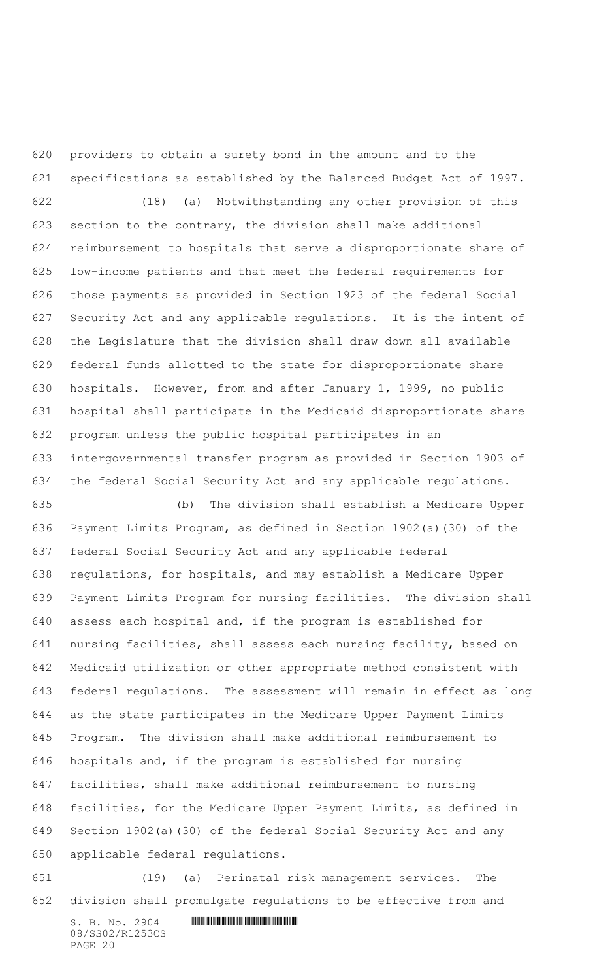providers to obtain a surety bond in the amount and to the specifications as established by the Balanced Budget Act of 1997.

 (18) (a) Notwithstanding any other provision of this section to the contrary, the division shall make additional reimbursement to hospitals that serve a disproportionate share of low-income patients and that meet the federal requirements for those payments as provided in Section 1923 of the federal Social Security Act and any applicable regulations. It is the intent of the Legislature that the division shall draw down all available federal funds allotted to the state for disproportionate share hospitals. However, from and after January 1, 1999, no public hospital shall participate in the Medicaid disproportionate share program unless the public hospital participates in an intergovernmental transfer program as provided in Section 1903 of the federal Social Security Act and any applicable regulations.

 (b) The division shall establish a Medicare Upper Payment Limits Program, as defined in Section 1902(a)(30) of the federal Social Security Act and any applicable federal regulations, for hospitals, and may establish a Medicare Upper Payment Limits Program for nursing facilities. The division shall assess each hospital and, if the program is established for nursing facilities, shall assess each nursing facility, based on Medicaid utilization or other appropriate method consistent with federal regulations. The assessment will remain in effect as long as the state participates in the Medicare Upper Payment Limits Program. The division shall make additional reimbursement to hospitals and, if the program is established for nursing facilities, shall make additional reimbursement to nursing facilities, for the Medicare Upper Payment Limits, as defined in Section 1902(a)(30) of the federal Social Security Act and any applicable federal regulations.

 (19) (a) Perinatal risk management services. The division shall promulgate regulations to be effective from and

 $S.$  B. No. 2904  $\blacksquare$ 08/SS02/R1253CS PAGE 20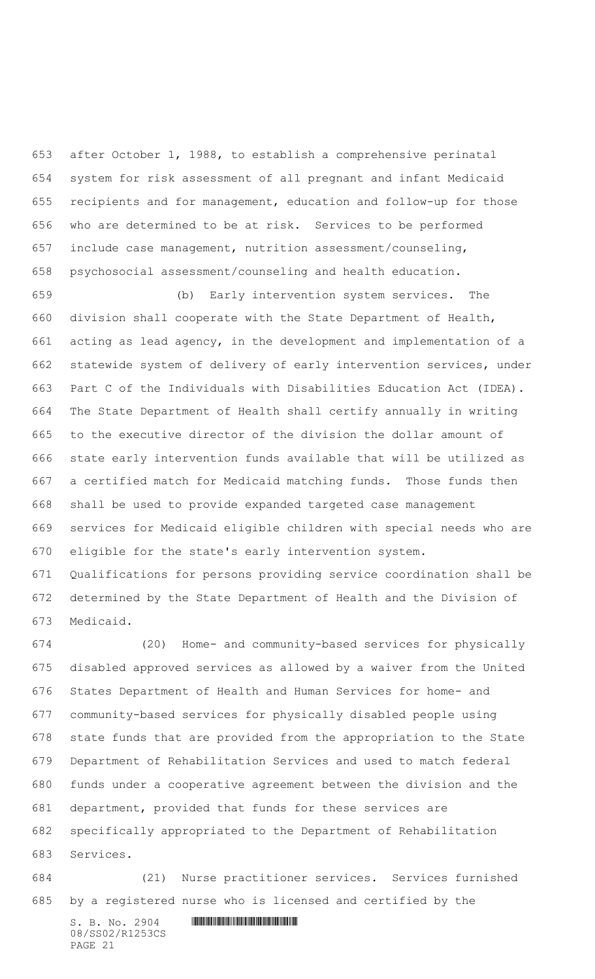after October 1, 1988, to establish a comprehensive perinatal system for risk assessment of all pregnant and infant Medicaid recipients and for management, education and follow-up for those who are determined to be at risk. Services to be performed include case management, nutrition assessment/counseling, psychosocial assessment/counseling and health education.

 (b) Early intervention system services. The division shall cooperate with the State Department of Health, acting as lead agency, in the development and implementation of a statewide system of delivery of early intervention services, under Part C of the Individuals with Disabilities Education Act (IDEA). The State Department of Health shall certify annually in writing to the executive director of the division the dollar amount of state early intervention funds available that will be utilized as a certified match for Medicaid matching funds. Those funds then shall be used to provide expanded targeted case management services for Medicaid eligible children with special needs who are eligible for the state's early intervention system.

 Qualifications for persons providing service coordination shall be determined by the State Department of Health and the Division of Medicaid.

 (20) Home- and community-based services for physically disabled approved services as allowed by a waiver from the United States Department of Health and Human Services for home- and community-based services for physically disabled people using state funds that are provided from the appropriation to the State Department of Rehabilitation Services and used to match federal funds under a cooperative agreement between the division and the department, provided that funds for these services are specifically appropriated to the Department of Rehabilitation Services.

 (21) Nurse practitioner services. Services furnished by a registered nurse who is licensed and certified by the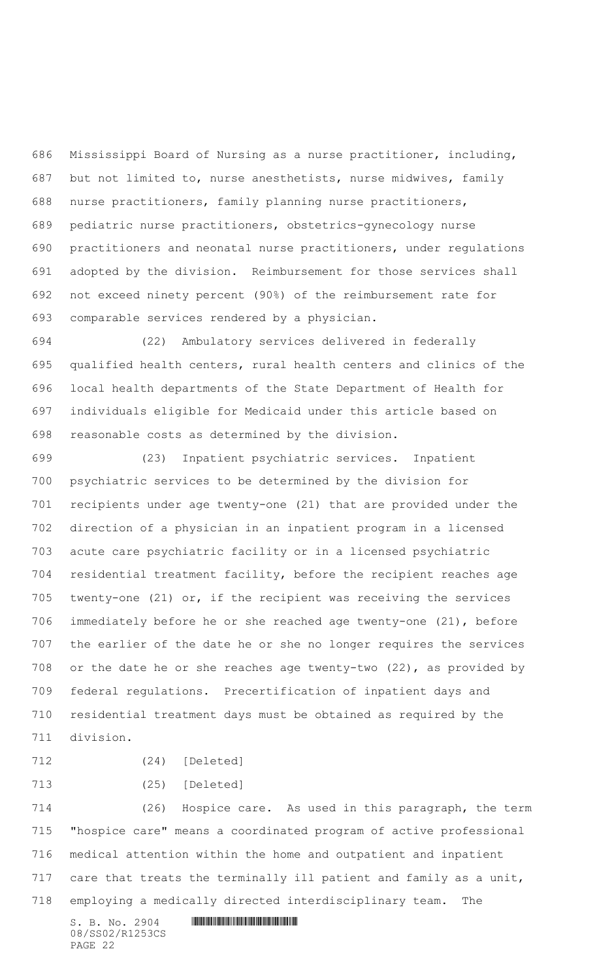Mississippi Board of Nursing as a nurse practitioner, including, but not limited to, nurse anesthetists, nurse midwives, family nurse practitioners, family planning nurse practitioners, pediatric nurse practitioners, obstetrics-gynecology nurse practitioners and neonatal nurse practitioners, under regulations adopted by the division. Reimbursement for those services shall not exceed ninety percent (90%) of the reimbursement rate for comparable services rendered by a physician.

 (22) Ambulatory services delivered in federally qualified health centers, rural health centers and clinics of the local health departments of the State Department of Health for individuals eligible for Medicaid under this article based on reasonable costs as determined by the division.

 (23) Inpatient psychiatric services. Inpatient psychiatric services to be determined by the division for recipients under age twenty-one (21) that are provided under the direction of a physician in an inpatient program in a licensed acute care psychiatric facility or in a licensed psychiatric residential treatment facility, before the recipient reaches age twenty-one (21) or, if the recipient was receiving the services immediately before he or she reached age twenty-one (21), before the earlier of the date he or she no longer requires the services or the date he or she reaches age twenty-two (22), as provided by federal regulations. Precertification of inpatient days and residential treatment days must be obtained as required by the division.

```
712 (24) [Deleted]
```

```
713 (25) [Deleted]
```
 (26) Hospice care. As used in this paragraph, the term "hospice care" means a coordinated program of active professional medical attention within the home and outpatient and inpatient 717 care that treats the terminally ill patient and family as a unit, employing a medically directed interdisciplinary team. The

08/SS02/R1253CS PAGE 22

```
S. B. No. 2904 . The set of the set of S. B. N_O. 2904
```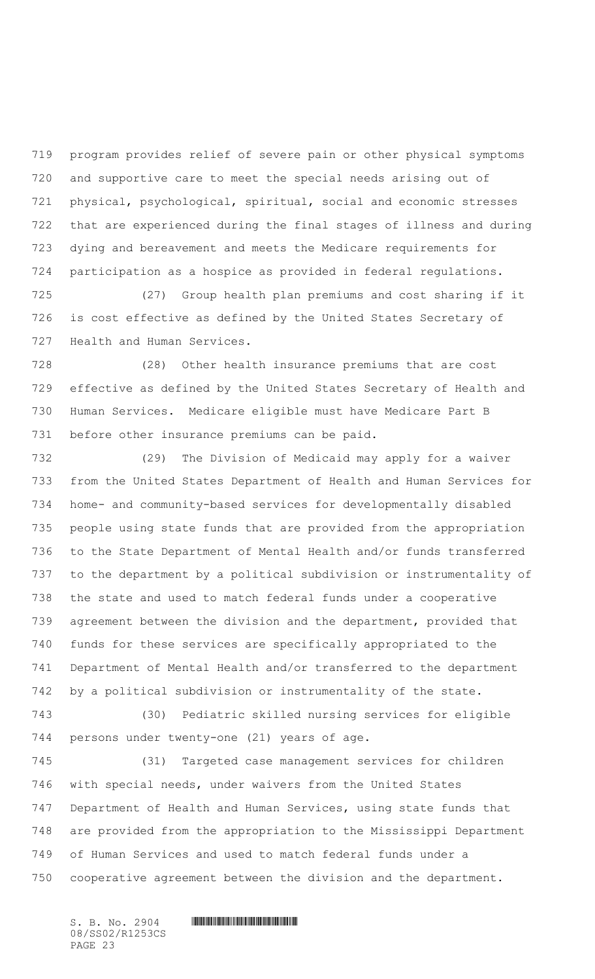program provides relief of severe pain or other physical symptoms and supportive care to meet the special needs arising out of physical, psychological, spiritual, social and economic stresses that are experienced during the final stages of illness and during dying and bereavement and meets the Medicare requirements for participation as a hospice as provided in federal regulations.

 (27) Group health plan premiums and cost sharing if it is cost effective as defined by the United States Secretary of Health and Human Services.

 (28) Other health insurance premiums that are cost effective as defined by the United States Secretary of Health and Human Services. Medicare eligible must have Medicare Part B before other insurance premiums can be paid.

 (29) The Division of Medicaid may apply for a waiver from the United States Department of Health and Human Services for home- and community-based services for developmentally disabled people using state funds that are provided from the appropriation to the State Department of Mental Health and/or funds transferred to the department by a political subdivision or instrumentality of the state and used to match federal funds under a cooperative agreement between the division and the department, provided that funds for these services are specifically appropriated to the Department of Mental Health and/or transferred to the department by a political subdivision or instrumentality of the state.

 (30) Pediatric skilled nursing services for eligible persons under twenty-one (21) years of age.

 (31) Targeted case management services for children with special needs, under waivers from the United States Department of Health and Human Services, using state funds that are provided from the appropriation to the Mississippi Department of Human Services and used to match federal funds under a cooperative agreement between the division and the department.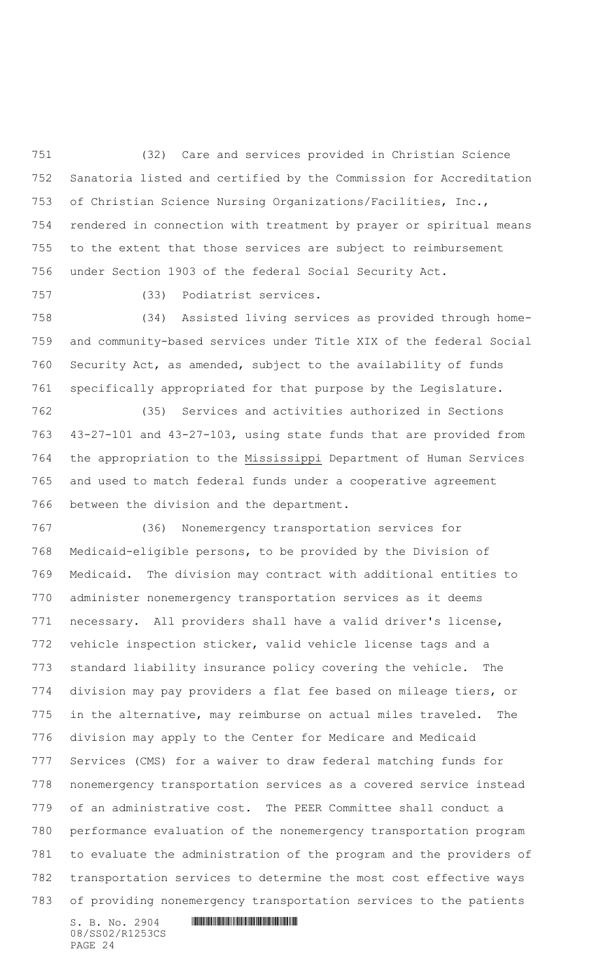(32) Care and services provided in Christian Science Sanatoria listed and certified by the Commission for Accreditation of Christian Science Nursing Organizations/Facilities, Inc., rendered in connection with treatment by prayer or spiritual means to the extent that those services are subject to reimbursement under Section 1903 of the federal Social Security Act.

(33) Podiatrist services.

 (34) Assisted living services as provided through home- and community-based services under Title XIX of the federal Social Security Act, as amended, subject to the availability of funds specifically appropriated for that purpose by the Legislature.

 (35) Services and activities authorized in Sections 43-27-101 and 43-27-103, using state funds that are provided from the appropriation to the Mississippi Department of Human Services and used to match federal funds under a cooperative agreement between the division and the department.

 (36) Nonemergency transportation services for Medicaid-eligible persons, to be provided by the Division of Medicaid. The division may contract with additional entities to administer nonemergency transportation services as it deems necessary. All providers shall have a valid driver's license, vehicle inspection sticker, valid vehicle license tags and a standard liability insurance policy covering the vehicle. The division may pay providers a flat fee based on mileage tiers, or in the alternative, may reimburse on actual miles traveled. The division may apply to the Center for Medicare and Medicaid Services (CMS) for a waiver to draw federal matching funds for nonemergency transportation services as a covered service instead of an administrative cost. The PEER Committee shall conduct a performance evaluation of the nonemergency transportation program to evaluate the administration of the program and the providers of transportation services to determine the most cost effective ways of providing nonemergency transportation services to the patients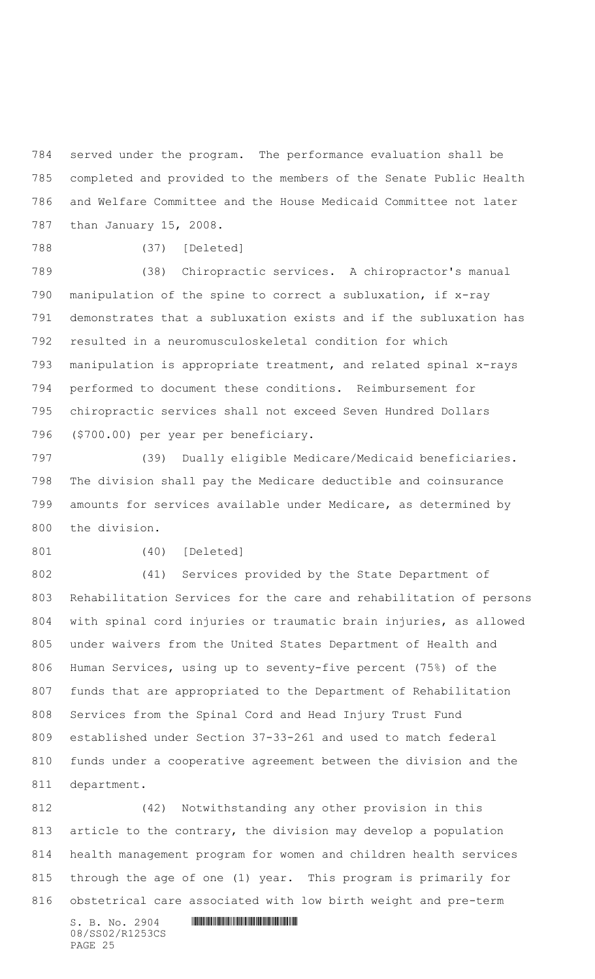served under the program. The performance evaluation shall be completed and provided to the members of the Senate Public Health and Welfare Committee and the House Medicaid Committee not later than January 15, 2008.

(37) [Deleted]

 (38) Chiropractic services. A chiropractor's manual manipulation of the spine to correct a subluxation, if x-ray demonstrates that a subluxation exists and if the subluxation has resulted in a neuromusculoskeletal condition for which manipulation is appropriate treatment, and related spinal x-rays performed to document these conditions. Reimbursement for chiropractic services shall not exceed Seven Hundred Dollars (\$700.00) per year per beneficiary.

 (39) Dually eligible Medicare/Medicaid beneficiaries. The division shall pay the Medicare deductible and coinsurance amounts for services available under Medicare, as determined by the division.

(40) [Deleted]

 (41) Services provided by the State Department of Rehabilitation Services for the care and rehabilitation of persons with spinal cord injuries or traumatic brain injuries, as allowed under waivers from the United States Department of Health and Human Services, using up to seventy-five percent (75%) of the funds that are appropriated to the Department of Rehabilitation Services from the Spinal Cord and Head Injury Trust Fund established under Section 37-33-261 and used to match federal funds under a cooperative agreement between the division and the department.

 (42) Notwithstanding any other provision in this article to the contrary, the division may develop a population health management program for women and children health services through the age of one (1) year. This program is primarily for obstetrical care associated with low birth weight and pre-term

08/SS02/R1253CS PAGE 25

 $S. B. No. 2904$  . The set of the set of  $S. B. N_O. 2904$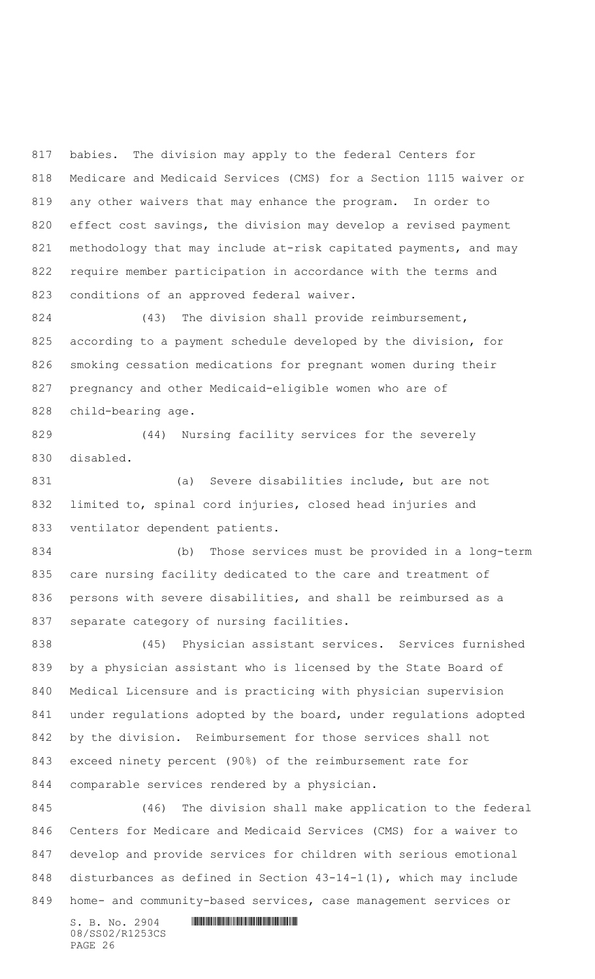babies. The division may apply to the federal Centers for Medicare and Medicaid Services (CMS) for a Section 1115 waiver or any other waivers that may enhance the program. In order to effect cost savings, the division may develop a revised payment 821 methodology that may include at-risk capitated payments, and may require member participation in accordance with the terms and conditions of an approved federal waiver.

824 (43) The division shall provide reimbursement, according to a payment schedule developed by the division, for smoking cessation medications for pregnant women during their pregnancy and other Medicaid-eligible women who are of child-bearing age.

 (44) Nursing facility services for the severely disabled.

 (a) Severe disabilities include, but are not limited to, spinal cord injuries, closed head injuries and ventilator dependent patients.

 (b) Those services must be provided in a long-term care nursing facility dedicated to the care and treatment of persons with severe disabilities, and shall be reimbursed as a separate category of nursing facilities.

 (45) Physician assistant services. Services furnished by a physician assistant who is licensed by the State Board of Medical Licensure and is practicing with physician supervision 841 under regulations adopted by the board, under regulations adopted by the division. Reimbursement for those services shall not exceed ninety percent (90%) of the reimbursement rate for comparable services rendered by a physician.

 (46) The division shall make application to the federal Centers for Medicare and Medicaid Services (CMS) for a waiver to develop and provide services for children with serious emotional disturbances as defined in Section 43-14-1(1), which may include home- and community-based services, case management services or

08/SS02/R1253CS PAGE 26

 $S. B. No. 2904$  . The set of the set of  $S. B. N_O. 2904$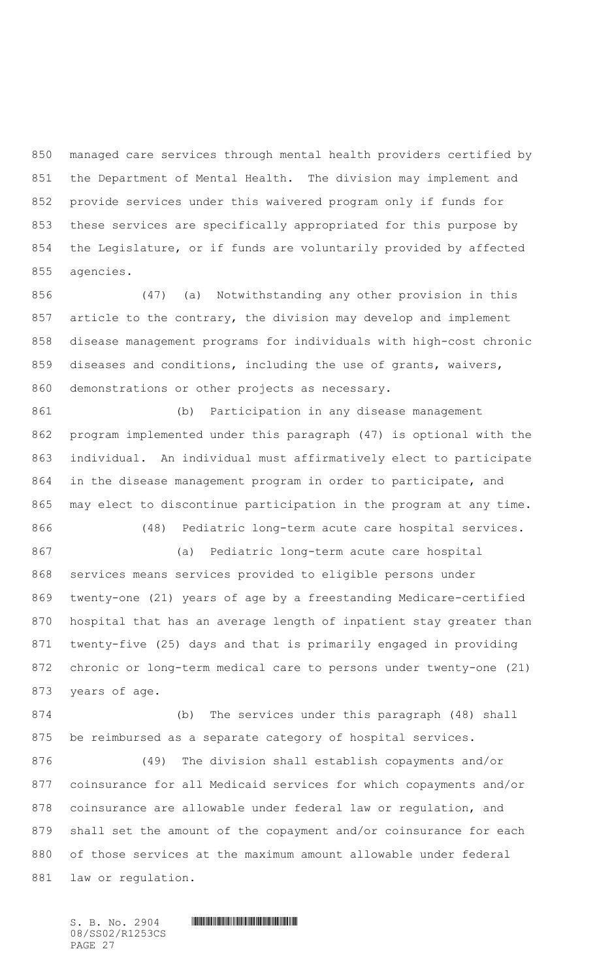managed care services through mental health providers certified by the Department of Mental Health. The division may implement and provide services under this waivered program only if funds for these services are specifically appropriated for this purpose by the Legislature, or if funds are voluntarily provided by affected agencies.

 (47) (a) Notwithstanding any other provision in this article to the contrary, the division may develop and implement disease management programs for individuals with high-cost chronic diseases and conditions, including the use of grants, waivers, demonstrations or other projects as necessary.

 (b) Participation in any disease management program implemented under this paragraph (47) is optional with the individual. An individual must affirmatively elect to participate in the disease management program in order to participate, and may elect to discontinue participation in the program at any time. (48) Pediatric long-term acute care hospital services.

 (a) Pediatric long-term acute care hospital services means services provided to eligible persons under twenty-one (21) years of age by a freestanding Medicare-certified hospital that has an average length of inpatient stay greater than twenty-five (25) days and that is primarily engaged in providing chronic or long-term medical care to persons under twenty-one (21) years of age.

 (b) The services under this paragraph (48) shall be reimbursed as a separate category of hospital services.

 (49) The division shall establish copayments and/or coinsurance for all Medicaid services for which copayments and/or coinsurance are allowable under federal law or regulation, and shall set the amount of the copayment and/or coinsurance for each of those services at the maximum amount allowable under federal law or regulation.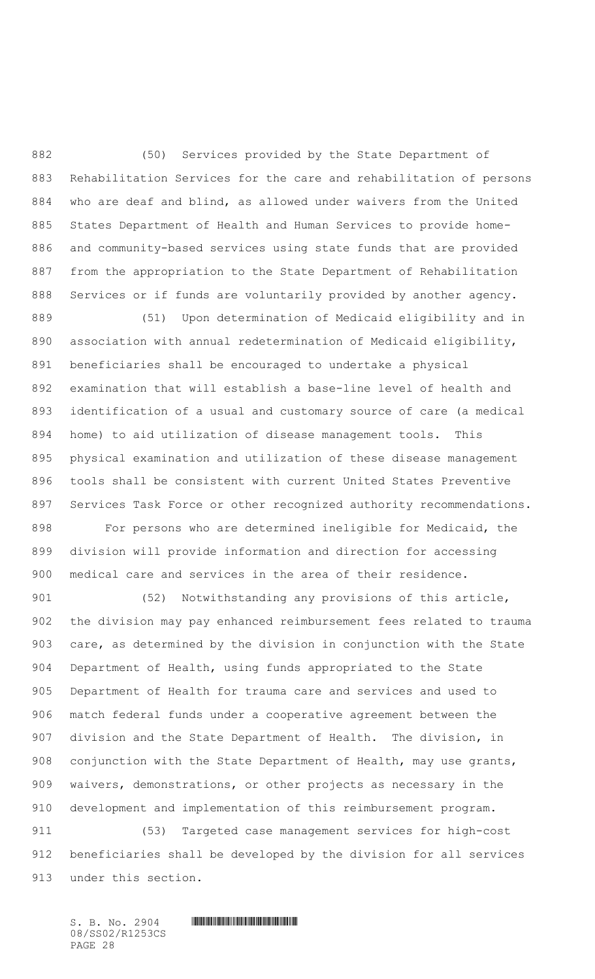(50) Services provided by the State Department of Rehabilitation Services for the care and rehabilitation of persons who are deaf and blind, as allowed under waivers from the United States Department of Health and Human Services to provide home- and community-based services using state funds that are provided from the appropriation to the State Department of Rehabilitation Services or if funds are voluntarily provided by another agency.

 (51) Upon determination of Medicaid eligibility and in association with annual redetermination of Medicaid eligibility, beneficiaries shall be encouraged to undertake a physical examination that will establish a base-line level of health and identification of a usual and customary source of care (a medical home) to aid utilization of disease management tools. This physical examination and utilization of these disease management tools shall be consistent with current United States Preventive Services Task Force or other recognized authority recommendations. For persons who are determined ineligible for Medicaid, the division will provide information and direction for accessing medical care and services in the area of their residence.

901 (52) Notwithstanding any provisions of this article, the division may pay enhanced reimbursement fees related to trauma care, as determined by the division in conjunction with the State Department of Health, using funds appropriated to the State Department of Health for trauma care and services and used to match federal funds under a cooperative agreement between the division and the State Department of Health. The division, in 908 conjunction with the State Department of Health, may use grants, waivers, demonstrations, or other projects as necessary in the development and implementation of this reimbursement program.

 (53) Targeted case management services for high-cost beneficiaries shall be developed by the division for all services under this section.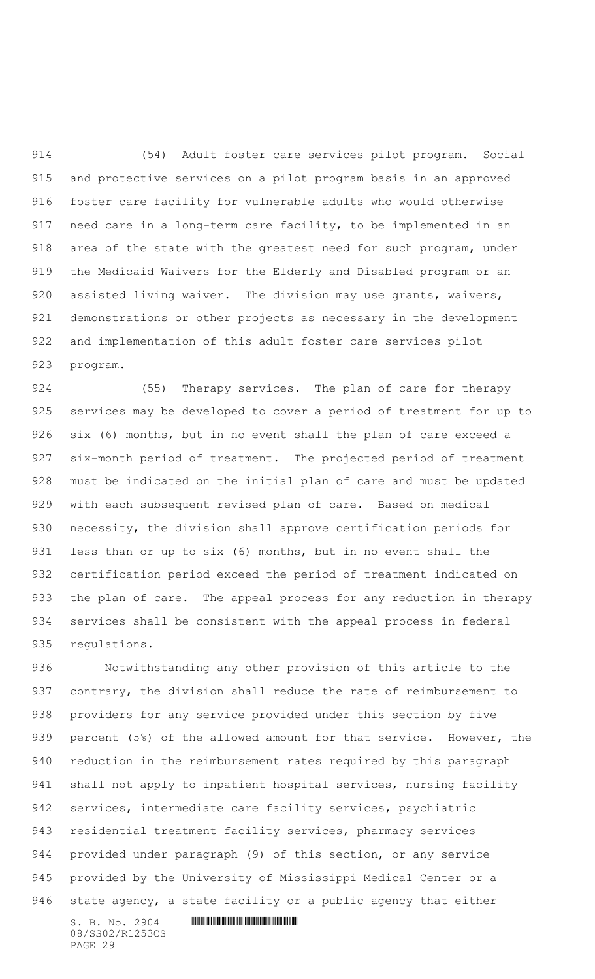(54) Adult foster care services pilot program. Social and protective services on a pilot program basis in an approved foster care facility for vulnerable adults who would otherwise need care in a long-term care facility, to be implemented in an 918 area of the state with the greatest need for such program, under the Medicaid Waivers for the Elderly and Disabled program or an 920 assisted living waiver. The division may use grants, waivers, demonstrations or other projects as necessary in the development and implementation of this adult foster care services pilot program.

 (55) Therapy services. The plan of care for therapy services may be developed to cover a period of treatment for up to six (6) months, but in no event shall the plan of care exceed a six-month period of treatment. The projected period of treatment must be indicated on the initial plan of care and must be updated with each subsequent revised plan of care. Based on medical necessity, the division shall approve certification periods for less than or up to six (6) months, but in no event shall the certification period exceed the period of treatment indicated on 933 the plan of care. The appeal process for any reduction in therapy services shall be consistent with the appeal process in federal regulations.

 Notwithstanding any other provision of this article to the contrary, the division shall reduce the rate of reimbursement to providers for any service provided under this section by five 939 percent (5%) of the allowed amount for that service. However, the reduction in the reimbursement rates required by this paragraph shall not apply to inpatient hospital services, nursing facility services, intermediate care facility services, psychiatric residential treatment facility services, pharmacy services provided under paragraph (9) of this section, or any service provided by the University of Mississippi Medical Center or a state agency, a state facility or a public agency that either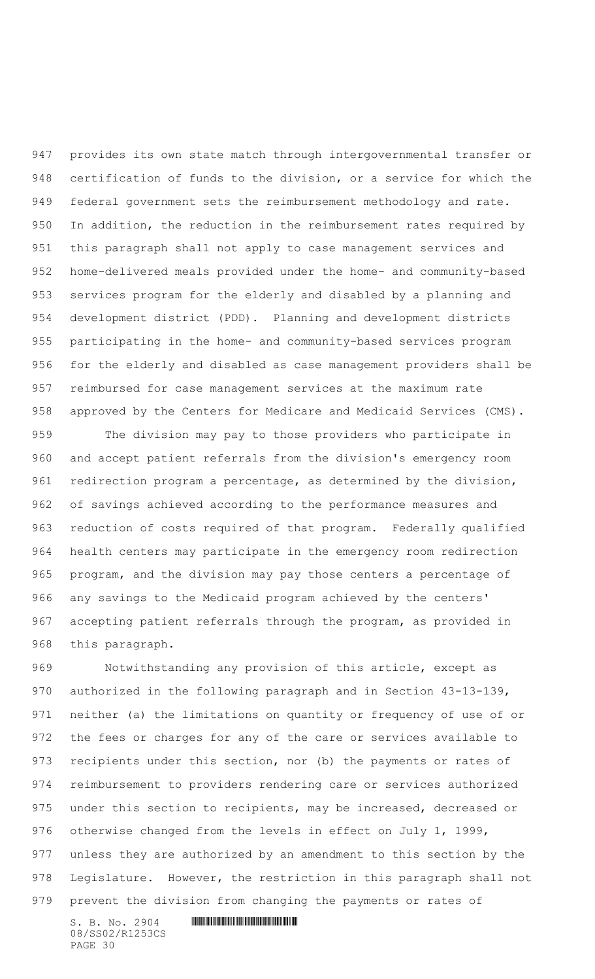provides its own state match through intergovernmental transfer or certification of funds to the division, or a service for which the federal government sets the reimbursement methodology and rate. In addition, the reduction in the reimbursement rates required by this paragraph shall not apply to case management services and home-delivered meals provided under the home- and community-based services program for the elderly and disabled by a planning and development district (PDD). Planning and development districts participating in the home- and community-based services program for the elderly and disabled as case management providers shall be reimbursed for case management services at the maximum rate approved by the Centers for Medicare and Medicaid Services (CMS).

 The division may pay to those providers who participate in and accept patient referrals from the division's emergency room 961 redirection program a percentage, as determined by the division, of savings achieved according to the performance measures and reduction of costs required of that program. Federally qualified health centers may participate in the emergency room redirection program, and the division may pay those centers a percentage of any savings to the Medicaid program achieved by the centers' accepting patient referrals through the program, as provided in this paragraph.

 Notwithstanding any provision of this article, except as authorized in the following paragraph and in Section 43-13-139, neither (a) the limitations on quantity or frequency of use of or the fees or charges for any of the care or services available to recipients under this section, nor (b) the payments or rates of reimbursement to providers rendering care or services authorized under this section to recipients, may be increased, decreased or otherwise changed from the levels in effect on July 1, 1999, unless they are authorized by an amendment to this section by the Legislature. However, the restriction in this paragraph shall not prevent the division from changing the payments or rates of

08/SS02/R1253CS PAGE 30

 $S. B. No. 2904$  . The set of the set of  $S. B. N_O. 2904$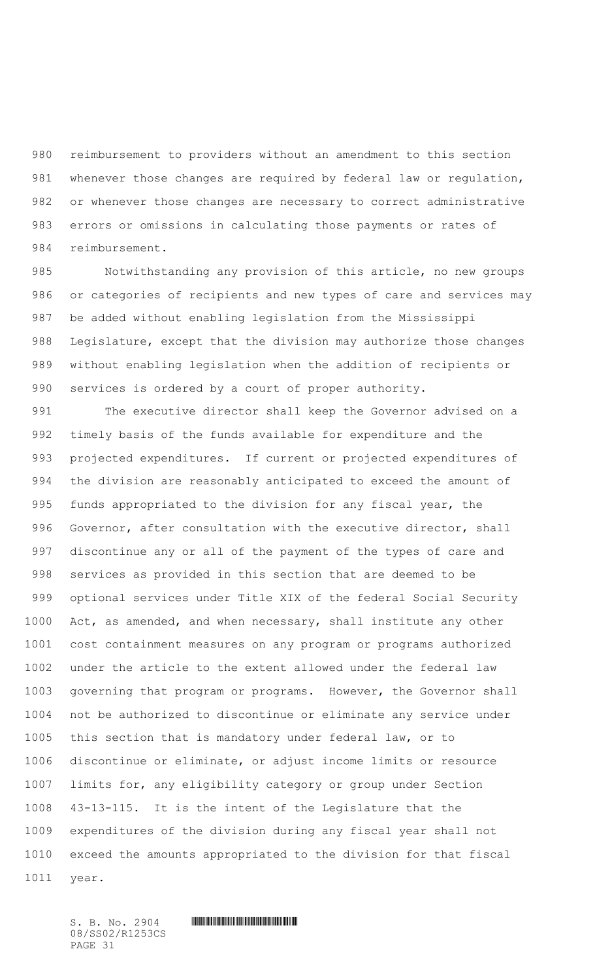reimbursement to providers without an amendment to this section whenever those changes are required by federal law or regulation, or whenever those changes are necessary to correct administrative errors or omissions in calculating those payments or rates of reimbursement.

 Notwithstanding any provision of this article, no new groups or categories of recipients and new types of care and services may be added without enabling legislation from the Mississippi Legislature, except that the division may authorize those changes without enabling legislation when the addition of recipients or services is ordered by a court of proper authority.

 The executive director shall keep the Governor advised on a timely basis of the funds available for expenditure and the projected expenditures. If current or projected expenditures of the division are reasonably anticipated to exceed the amount of funds appropriated to the division for any fiscal year, the Governor, after consultation with the executive director, shall discontinue any or all of the payment of the types of care and services as provided in this section that are deemed to be optional services under Title XIX of the federal Social Security Act, as amended, and when necessary, shall institute any other cost containment measures on any program or programs authorized under the article to the extent allowed under the federal law governing that program or programs.However, the Governor shall not be authorized to discontinue or eliminate any service under this section that is mandatory under federal law, or to discontinue or eliminate, or adjust income limits or resource limits for, any eligibility category or group under Section 43-13-115.It is the intent of the Legislature that the expenditures of the division during any fiscal year shall not exceed the amounts appropriated to the division for that fiscal year.

08/SS02/R1253CS PAGE 31

 $S. B. No. 2904$  . The set of the set of  $S. B. N_{O.} 2904$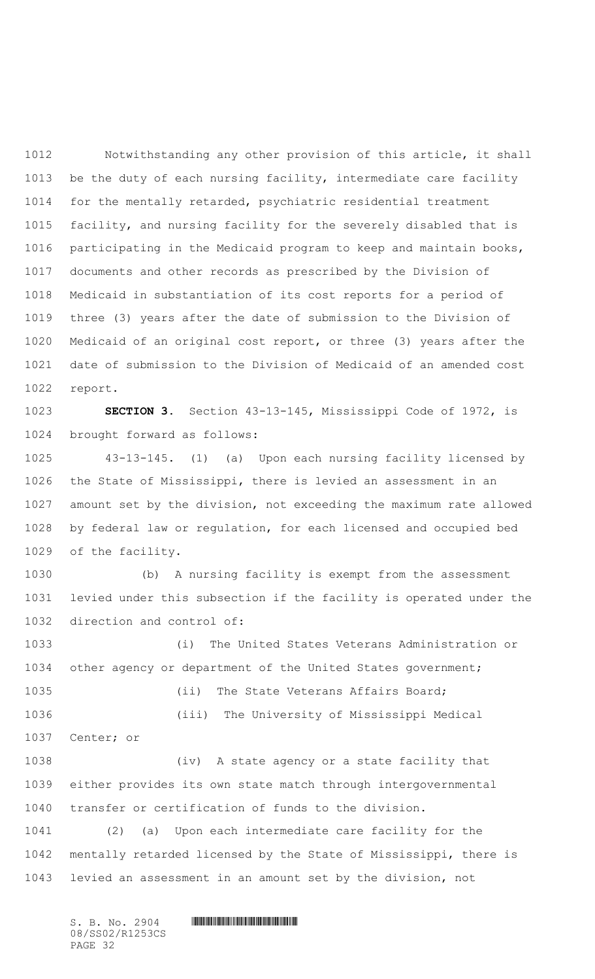Notwithstanding any other provision of this article, it shall be the duty of each nursing facility, intermediate care facility for the mentally retarded, psychiatric residential treatment facility, and nursing facility for the severely disabled that is participating in the Medicaid program to keep and maintain books, documents and other records as prescribed by the Division of Medicaid in substantiation of its cost reports for a period of three (3) years after the date of submission to the Division of Medicaid of an original cost report, or three (3) years after the date of submission to the Division of Medicaid of an amended cost report.

 **SECTION 3.** Section 43-13-145, Mississippi Code of 1972, is brought forward as follows:

 43-13-145. (1) (a) Upon each nursing facility licensed by the State of Mississippi, there is levied an assessment in an amount set by the division, not exceeding the maximum rate allowed by federal law or regulation, for each licensed and occupied bed of the facility.

 (b) A nursing facility is exempt from the assessment levied under this subsection if the facility is operated under the direction and control of:

 (i) The United States Veterans Administration or other agency or department of the United States government; (ii) The State Veterans Affairs Board; (iii) The University of Mississippi Medical Center; or (iv) A state agency or a state facility that

 either provides its own state match through intergovernmental transfer or certification of funds to the division.

 (2) (a) Upon each intermediate care facility for the mentally retarded licensed by the State of Mississippi, there is levied an assessment in an amount set by the division, not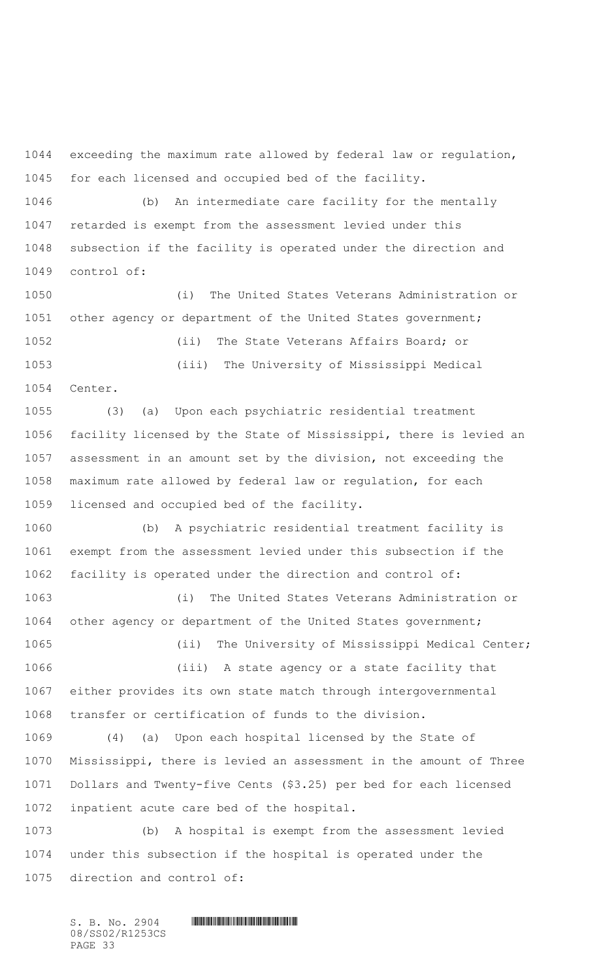exceeding the maximum rate allowed by federal law or regulation, for each licensed and occupied bed of the facility.

 (b) An intermediate care facility for the mentally retarded is exempt from the assessment levied under this subsection if the facility is operated under the direction and control of:

 (i) The United States Veterans Administration or other agency or department of the United States government; (ii) The State Veterans Affairs Board; or (iii) The University of Mississippi Medical Center.

 (3) (a) Upon each psychiatric residential treatment facility licensed by the State of Mississippi, there is levied an assessment in an amount set by the division, not exceeding the maximum rate allowed by federal law or regulation, for each licensed and occupied bed of the facility.

 (b) A psychiatric residential treatment facility is exempt from the assessment levied under this subsection if the facility is operated under the direction and control of:

 (i) The United States Veterans Administration or other agency or department of the United States government;

1065 (ii) The University of Mississippi Medical Center; (iii) A state agency or a state facility that either provides its own state match through intergovernmental transfer or certification of funds to the division.

 (4) (a) Upon each hospital licensed by the State of Mississippi, there is levied an assessment in the amount of Three Dollars and Twenty-five Cents (\$3.25) per bed for each licensed inpatient acute care bed of the hospital.

 (b) A hospital is exempt from the assessment levied under this subsection if the hospital is operated under the direction and control of: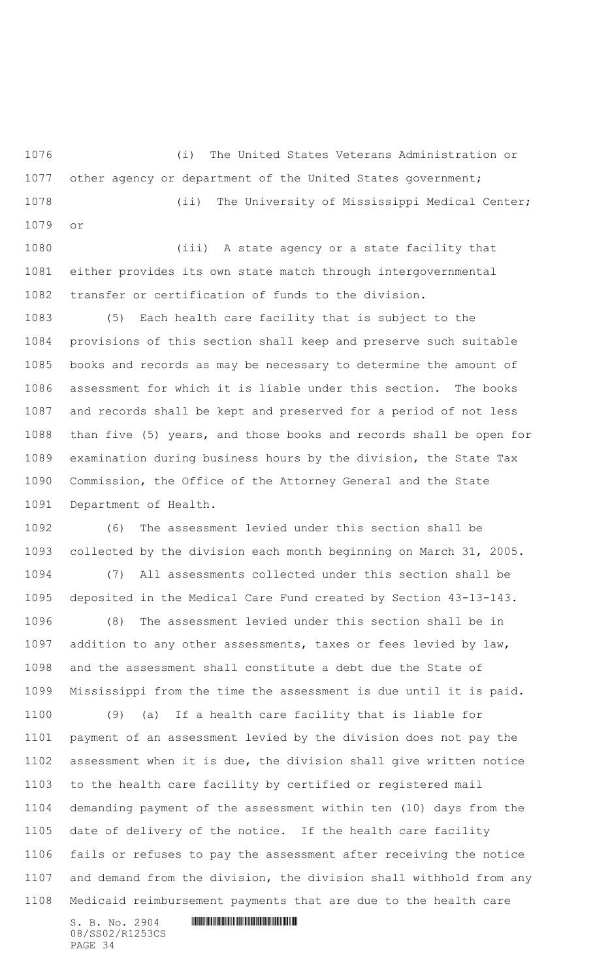(i) The United States Veterans Administration or 1077 other agency or department of the United States government; (ii) The University of Mississippi Medical Center;

 (iii) A state agency or a state facility that either provides its own state match through intergovernmental transfer or certification of funds to the division.

or

 (5) Each health care facility that is subject to the provisions of this section shall keep and preserve such suitable books and records as may be necessary to determine the amount of assessment for which it is liable under this section. The books and records shall be kept and preserved for a period of not less than five (5) years, and those books and records shall be open for examination during business hours by the division, the State Tax Commission, the Office of the Attorney General and the State Department of Health.

 (6) The assessment levied under this section shall be collected by the division each month beginning on March 31, 2005. (7) All assessments collected under this section shall be

 deposited in the Medical Care Fund created by Section 43-13-143. (8) The assessment levied under this section shall be in addition to any other assessments, taxes or fees levied by law, and the assessment shall constitute a debt due the State of Mississippi from the time the assessment is due until it is paid.

 (9) (a) If a health care facility that is liable for payment of an assessment levied by the division does not pay the assessment when it is due, the division shall give written notice to the health care facility by certified or registered mail demanding payment of the assessment within ten (10) days from the date of delivery of the notice. If the health care facility fails or refuses to pay the assessment after receiving the notice and demand from the division, the division shall withhold from any Medicaid reimbursement payments that are due to the health care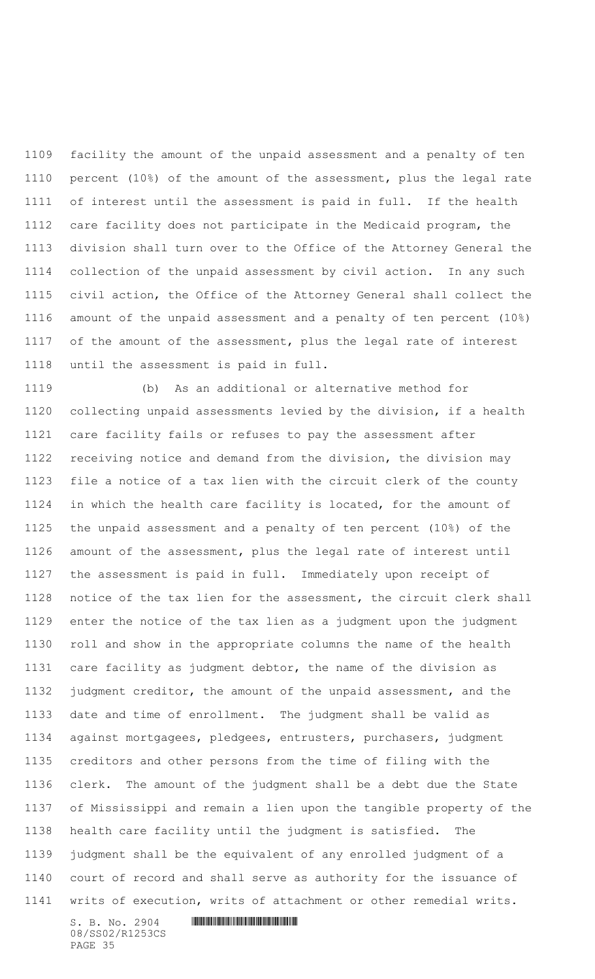facility the amount of the unpaid assessment and a penalty of ten percent (10%) of the amount of the assessment, plus the legal rate of interest until the assessment is paid in full. If the health care facility does not participate in the Medicaid program, the division shall turn over to the Office of the Attorney General the collection of the unpaid assessment by civil action. In any such civil action, the Office of the Attorney General shall collect the amount of the unpaid assessment and a penalty of ten percent (10%) 1117 of the amount of the assessment, plus the legal rate of interest until the assessment is paid in full.

 $S. B. No. 2904$  . The set of the set of  $S. B. N \circ A$  (b) As an additional or alternative method for collecting unpaid assessments levied by the division, if a health care facility fails or refuses to pay the assessment after receiving notice and demand from the division, the division may file a notice of a tax lien with the circuit clerk of the county in which the health care facility is located, for the amount of the unpaid assessment and a penalty of ten percent (10%) of the amount of the assessment, plus the legal rate of interest until the assessment is paid in full. Immediately upon receipt of notice of the tax lien for the assessment, the circuit clerk shall enter the notice of the tax lien as a judgment upon the judgment roll and show in the appropriate columns the name of the health care facility as judgment debtor, the name of the division as judgment creditor, the amount of the unpaid assessment, and the date and time of enrollment. The judgment shall be valid as against mortgagees, pledgees, entrusters, purchasers, judgment creditors and other persons from the time of filing with the clerk. The amount of the judgment shall be a debt due the State of Mississippi and remain a lien upon the tangible property of the health care facility until the judgment is satisfied. The judgment shall be the equivalent of any enrolled judgment of a court of record and shall serve as authority for the issuance of writs of execution, writs of attachment or other remedial writs.

08/SS02/R1253CS PAGE 35